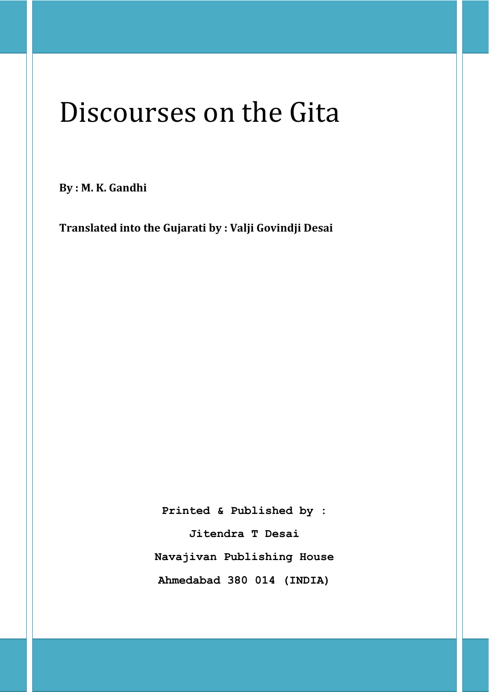# Discourses on the Gita

**By : M. K. Gandhi** 

**Translated into the Gujarati by : Valji Govindji Desai** 

**Printed & Published by : Jitendra T Desai Navajivan Publishing House** 

**Ahmedabad 380 014 (INDIA)**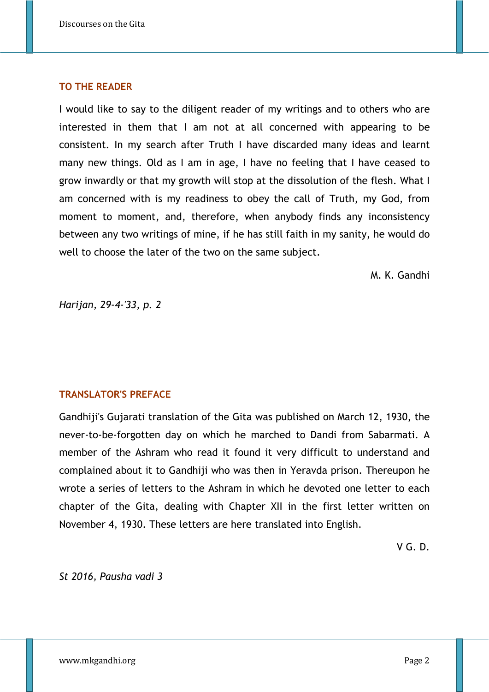## **TO THE READER**

I would like to say to the diligent reader of my writings and to others who are interested in them that I am not at all concerned with appearing to be consistent. In my search after Truth I have discarded many ideas and learnt many new things. Old as I am in age, I have no feeling that I have ceased to grow inwardly or that my growth will stop at the dissolution of the flesh. What I am concerned with is my readiness to obey the call of Truth, my God, from moment to moment, and, therefore, when anybody finds any inconsistency between any two writings of mine, if he has still faith in my sanity, he would do well to choose the later of the two on the same subject.

M. K. Gandhi

*Harijan, 29-4-'33, p. 2* 

## **TRANSLATOR'S PREFACE**

Gandhiji's Gujarati translation of the Gita was published on March 12, 1930, the never-to-be-forgotten day on which he marched to Dandi from Sabarmati. A member of the Ashram who read it found it very difficult to understand and complained about it to Gandhiji who was then in Yeravda prison. Thereupon he wrote a series of letters to the Ashram in which he devoted one letter to each chapter of the Gita, dealing with Chapter XII in the first letter written on November 4, 1930. These letters are here translated into English.

V G. D.

*St 2016, Pausha vadi 3*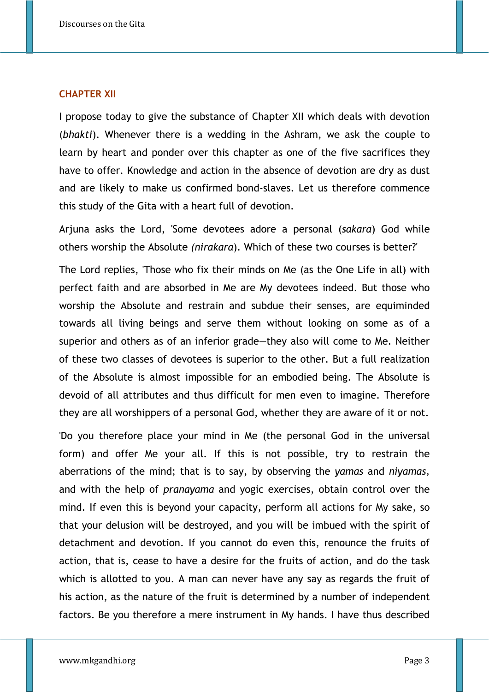#### **CHAPTER XII**

I propose today to give the substance of Chapter XII which deals with devotion (*bhakti*). Whenever there is a wedding in the Ashram, we ask the couple to learn by heart and ponder over this chapter as one of the five sacrifices they have to offer. Knowledge and action in the absence of devotion are dry as dust and are likely to make us confirmed bond-slaves. Let us therefore commence this study of the Gita with a heart full of devotion.

Arjuna asks the Lord, 'Some devotees adore a personal (*sakara*) God while others worship the Absolute *(nirakara*). Which of these two courses is better?'

The Lord replies, 'Those who fix their minds on Me (as the One Life in all) with perfect faith and are absorbed in Me are My devotees indeed. But those who worship the Absolute and restrain and subdue their senses, are equiminded towards all living beings and serve them without looking on some as of a superior and others as of an inferior grade—they also will come to Me. Neither of these two classes of devotees is superior to the other. But a full realization of the Absolute is almost impossible for an embodied being. The Absolute is devoid of all attributes and thus difficult for men even to imagine. Therefore they are all worshippers of a personal God, whether they are aware of it or not.

'Do you therefore place your mind in Me (the personal God in the universal form) and offer Me your all. If this is not possible, try to restrain the aberrations of the mind; that is to say, by observing the *yamas* and *niyamas,* and with the help of *pranayama* and yogic exercises, obtain control over the mind. If even this is beyond your capacity, perform all actions for My sake, so that your delusion will be destroyed, and you will be imbued with the spirit of detachment and devotion. If you cannot do even this, renounce the fruits of action, that is, cease to have a desire for the fruits of action, and do the task which is allotted to you. A man can never have any say as regards the fruit of his action, as the nature of the fruit is determined by a number of independent factors. Be you therefore a mere instrument in My hands. I have thus described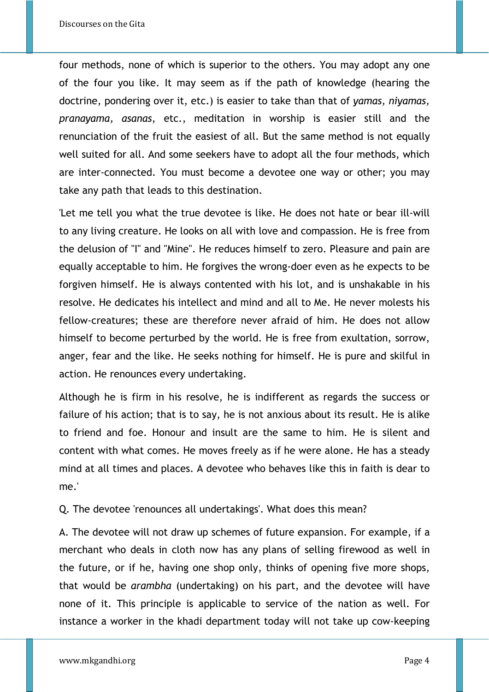four methods, none of which is superior to the others. You may adopt any one of the four you like. It may seem as if the path of knowledge (hearing the doctrine, pondering over it, etc.) is easier to take than that of *yamas, niyamas, pranayama, asanas*, etc., meditation in worship is easier still and the renunciation of the fruit the easiest of all. But the same method is not equally well suited for all. And some seekers have to adopt all the four methods, which are inter-connected. You must become a devotee one way or other; you may take any path that leads to this destination.

'Let me tell you what the true devotee is like. He does not hate or bear ill-will to any living creature. He looks on all with love and compassion. He is free from the delusion of "I" and "Mine". He reduces himself to zero. Pleasure and pain are equally acceptable to him. He forgives the wrong-doer even as he expects to be forgiven himself. He is always contented with his lot, and is unshakable in his resolve. He dedicates his intellect and mind and all to Me. He never molests his fellow-creatures; these are therefore never afraid of him. He does not allow himself to become perturbed by the world. He is free from exultation, sorrow, anger, fear and the like. He seeks nothing for himself. He is pure and skilful in action. He renounces every undertaking.

Although he is firm in his resolve, he is indifferent as regards the success or failure of his action; that is to say, he is not anxious about its result. He is alike to friend and foe. Honour and insult are the same to him. He is silent and content with what comes. He moves freely as if he were alone. He has a steady mind at all times and places. A devotee who behaves like this in faith is dear to me.'

Q. The devotee 'renounces all undertakings'. What does this mean?

A. The devotee will not draw up schemes of future expansion. For example, if a merchant who deals in cloth now has any plans of selling firewood as well in the future, or if he, having one shop only, thinks of opening five more shops, that would be *arambha* (undertaking) on his part, and the devotee will have none of it. This principle is applicable to service of the nation as well. For instance a worker in the khadi department today will not take up cow-keeping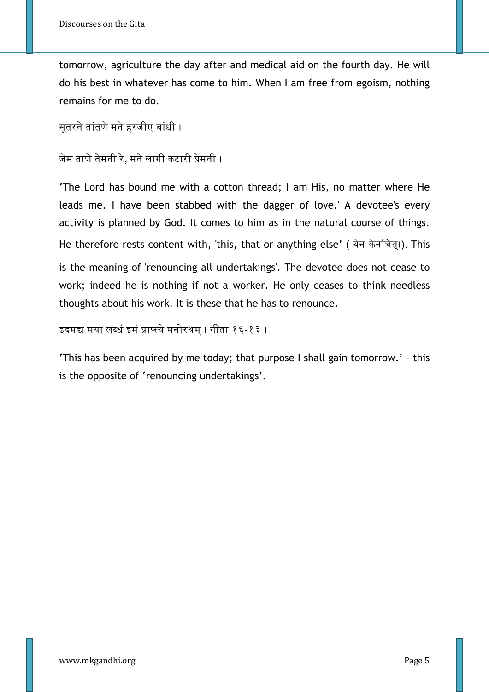tomorrow, agriculture the day after and medical aid on the fourth day. He will do his best in whatever has come to him. When I am free from egoism, nothing remains for me to do.

```
सूतरने तांतणे मने हरजीए बांधी ।
```

```
जेम ताणे तेमनी रे. मने लागी कटारी प्रेमनी ।
```
'The Lord has bound me with a cotton thread; I am His, no matter where He leads me. I have been stabbed with the dagger of love.' A devotee's every activity is planned by God. It comes to him as in the natural course of things. He therefore rests content with, 'this, that or anything else' (येन केनचित्।). This is the meaning of 'renouncing all undertakings'. The devotee does not cease to work; indeed he is nothing if not a worker. He only ceases to think needless thoughts about his work. It is these that he has to renounce.

इदमद्य मया लब्धं इमं प्राप्स्ये मनोरथम् । गीता १६-१३ ।

'This has been acquired by me today; that purpose I shall gain tomorrow.' – this is the opposite of 'renouncing undertakings'.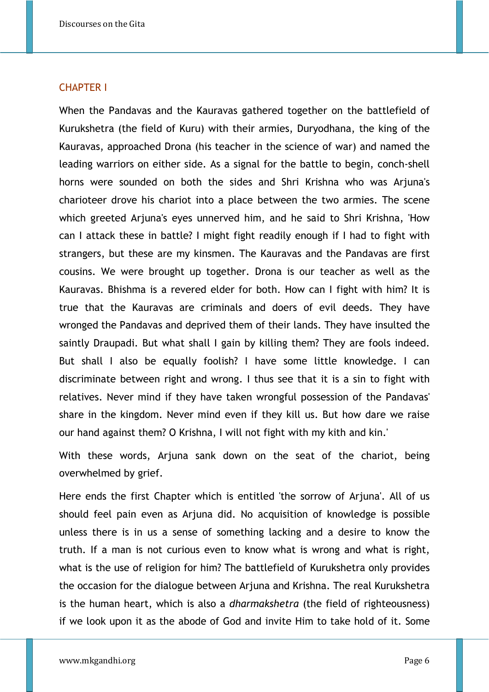#### CHAPTER I

When the Pandavas and the Kauravas gathered together on the battlefield of Kurukshetra (the field of Kuru) with their armies, Duryodhana, the king of the Kauravas, approached Drona (his teacher in the science of war) and named the leading warriors on either side. As a signal for the battle to begin, conch-shell horns were sounded on both the sides and Shri Krishna who was Arjuna's charioteer drove his chariot into a place between the two armies. The scene which greeted Arjuna's eyes unnerved him, and he said to Shri Krishna, 'How can I attack these in battle? I might fight readily enough if I had to fight with strangers, but these are my kinsmen. The Kauravas and the Pandavas are first cousins. We were brought up together. Drona is our teacher as well as the Kauravas. Bhishma is a revered elder for both. How can I fight with him? It is true that the Kauravas are criminals and doers of evil deeds. They have wronged the Pandavas and deprived them of their lands. They have insulted the saintly Draupadi. But what shall I gain by killing them? They are fools indeed. But shall I also be equally foolish? I have some little knowledge. I can discriminate between right and wrong. I thus see that it is a sin to fight with relatives. Never mind if they have taken wrongful possession of the Pandavas' share in the kingdom. Never mind even if they kill us. But how dare we raise our hand against them? O Krishna, I will not fight with my kith and kin.'

With these words, Arjuna sank down on the seat of the chariot, being overwhelmed by grief.

Here ends the first Chapter which is entitled 'the sorrow of Arjuna'. All of us should feel pain even as Arjuna did. No acquisition of knowledge is possible unless there is in us a sense of something lacking and a desire to know the truth. If a man is not curious even to know what is wrong and what is right, what is the use of religion for him? The battlefield of Kurukshetra only provides the occasion for the dialogue between Arjuna and Krishna. The real Kurukshetra is the human heart, which is also a *dharmakshetra* (the field of righteousness) if we look upon it as the abode of God and invite Him to take hold of it. Some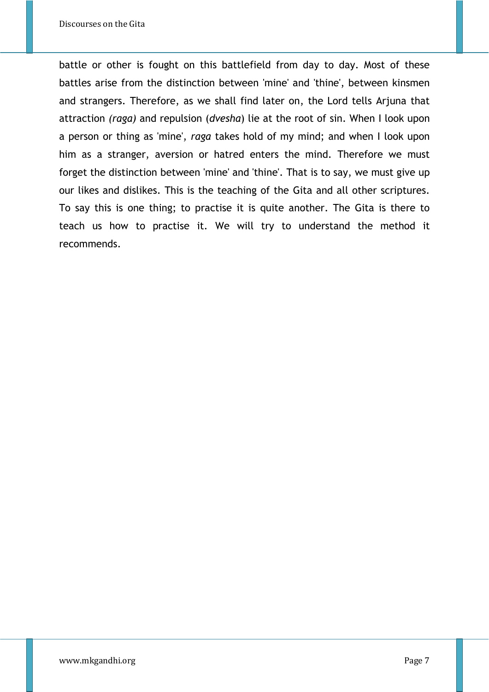battle or other is fought on this battlefield from day to day. Most of these battles arise from the distinction between 'mine' and 'thine', between kinsmen and strangers. Therefore, as we shall find later on, the Lord tells Arjuna that attraction *(raga)* and repulsion (*dvesha*) lie at the root of sin. When I look upon a person or thing as 'mine', *raga* takes hold of my mind; and when I look upon him as a stranger, aversion or hatred enters the mind. Therefore we must forget the distinction between 'mine' and 'thine'. That is to say, we must give up our likes and dislikes. This is the teaching of the Gita and all other scriptures. To say this is one thing; to practise it is quite another. The Gita is there to teach us how to practise it. We will try to understand the method it recommends.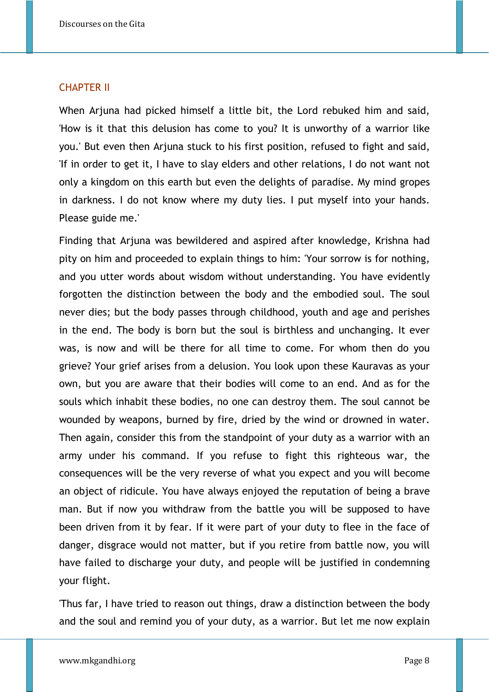#### CHAPTER II

When Arjuna had picked himself a little bit, the Lord rebuked him and said, 'How is it that this delusion has come to you? It is unworthy of a warrior like you.' But even then Arjuna stuck to his first position, refused to fight and said, 'If in order to get it, I have to slay elders and other relations, I do not want not only a kingdom on this earth but even the delights of paradise. My mind gropes in darkness. I do not know where my duty lies. I put myself into your hands. Please guide me.'

Finding that Arjuna was bewildered and aspired after knowledge, Krishna had pity on him and proceeded to explain things to him: 'Your sorrow is for nothing, and you utter words about wisdom without understanding. You have evidently forgotten the distinction between the body and the embodied soul. The soul never dies; but the body passes through childhood, youth and age and perishes in the end. The body is born but the soul is birthless and unchanging. It ever was, is now and will be there for all time to come. For whom then do you grieve? Your grief arises from a delusion. You look upon these Kauravas as your own, but you are aware that their bodies will come to an end. And as for the souls which inhabit these bodies, no one can destroy them. The soul cannot be wounded by weapons, burned by fire, dried by the wind or drowned in water. Then again, consider this from the standpoint of your duty as a warrior with an army under his command. If you refuse to fight this righteous war, the consequences will be the very reverse of what you expect and you will become an object of ridicule. You have always enjoyed the reputation of being a brave man. But if now you withdraw from the battle you will be supposed to have been driven from it by fear. If it were part of your duty to flee in the face of danger, disgrace would not matter, but if you retire from battle now, you will have failed to discharge your duty, and people will be justified in condemning your flight.

'Thus far, I have tried to reason out things, draw a distinction between the body and the soul and remind you of your duty, as a warrior. But let me now explain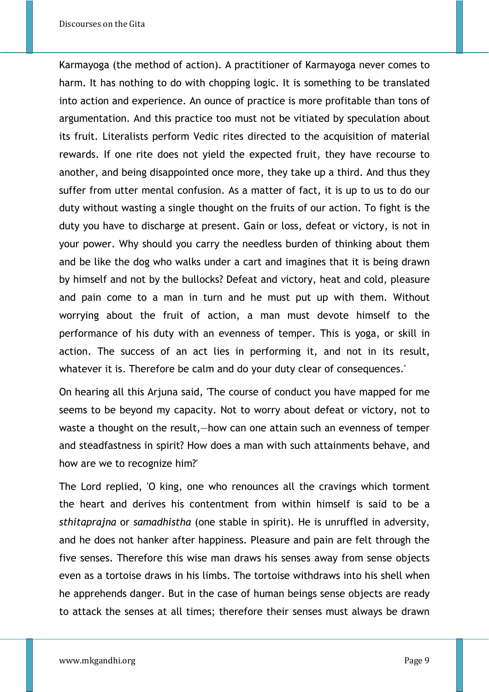Karmayoga (the method of action). A practitioner of Karmayoga never comes to harm. It has nothing to do with chopping logic. It is something to be translated into action and experience. An ounce of practice is more profitable than tons of argumentation. And this practice too must not be vitiated by speculation about its fruit. Literalists perform Vedic rites directed to the acquisition of material rewards. If one rite does not yield the expected fruit, they have recourse to another, and being disappointed once more, they take up a third. And thus they suffer from utter mental confusion. As a matter of fact, it is up to us to do our duty without wasting a single thought on the fruits of our action. To fight is the duty you have to discharge at present. Gain or loss, defeat or victory, is not in your power. Why should you carry the needless burden of thinking about them and be like the dog who walks under a cart and imagines that it is being drawn by himself and not by the bullocks? Defeat and victory, heat and cold, pleasure and pain come to a man in turn and he must put up with them. Without worrying about the fruit of action, a man must devote himself to the performance of his duty with an evenness of temper. This is yoga, or skill in action. The success of an act lies in performing it, and not in its result, whatever it is. Therefore be calm and do your duty clear of consequences.'

On hearing all this Arjuna said, 'The course of conduct you have mapped for me seems to be beyond my capacity. Not to worry about defeat or victory, not to waste a thought on the result,—how can one attain such an evenness of temper and steadfastness in spirit? How does a man with such attainments behave, and how are we to recognize him?'

The Lord replied, 'O king, one who renounces all the cravings which torment the heart and derives his contentment from within himself is said to be a *sthitaprajna* or *samadhistha* (one stable in spirit). He is unruffled in adversity, and he does not hanker after happiness. Pleasure and pain are felt through the five senses. Therefore this wise man draws his senses away from sense objects even as a tortoise draws in his limbs. The tortoise withdraws into his shell when he apprehends danger. But in the case of human beings sense objects are ready to attack the senses at all times; therefore their senses must always be drawn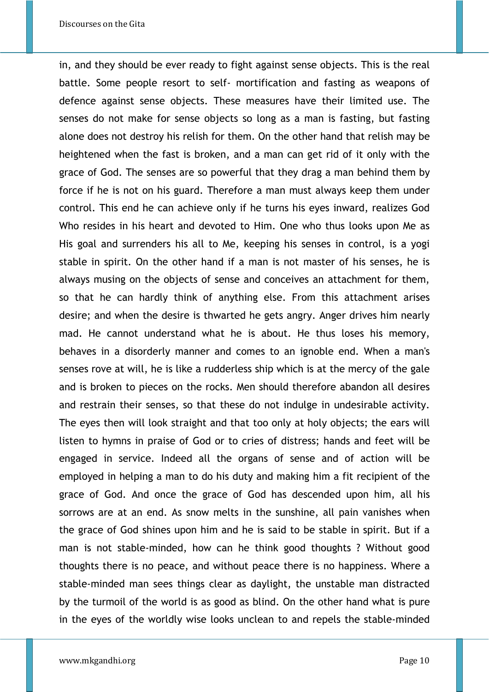in, and they should be ever ready to fight against sense objects. This is the real battle. Some people resort to self- mortification and fasting as weapons of defence against sense objects. These measures have their limited use. The senses do not make for sense objects so long as a man is fasting, but fasting alone does not destroy his relish for them. On the other hand that relish may be heightened when the fast is broken, and a man can get rid of it only with the grace of God. The senses are so powerful that they drag a man behind them by force if he is not on his guard. Therefore a man must always keep them under control. This end he can achieve only if he turns his eyes inward, realizes God Who resides in his heart and devoted to Him. One who thus looks upon Me as His goal and surrenders his all to Me, keeping his senses in control, is a yogi stable in spirit. On the other hand if a man is not master of his senses, he is always musing on the objects of sense and conceives an attachment for them, so that he can hardly think of anything else. From this attachment arises desire; and when the desire is thwarted he gets angry. Anger drives him nearly mad. He cannot understand what he is about. He thus loses his memory, behaves in a disorderly manner and comes to an ignoble end. When a man's senses rove at will, he is like a rudderless ship which is at the mercy of the gale and is broken to pieces on the rocks. Men should therefore abandon all desires and restrain their senses, so that these do not indulge in undesirable activity. The eyes then will look straight and that too only at holy objects; the ears will listen to hymns in praise of God or to cries of distress; hands and feet will be engaged in service. Indeed all the organs of sense and of action will be employed in helping a man to do his duty and making him a fit recipient of the grace of God. And once the grace of God has descended upon him, all his sorrows are at an end. As snow melts in the sunshine, all pain vanishes when the grace of God shines upon him and he is said to be stable in spirit. But if a man is not stable-minded, how can he think good thoughts ? Without good thoughts there is no peace, and without peace there is no happiness. Where a stable-minded man sees things clear as daylight, the unstable man distracted by the turmoil of the world is as good as blind. On the other hand what is pure in the eyes of the worldly wise looks unclean to and repels the stable-minded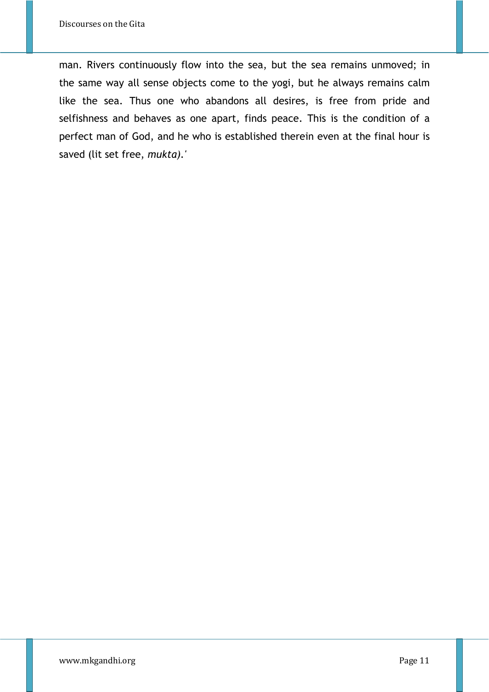man. Rivers continuously flow into the sea, but the sea remains unmoved; in the same way all sense objects come to the yogi, but he always remains calm like the sea. Thus one who abandons all desires, is free from pride and selfishness and behaves as one apart, finds peace. This is the condition of a perfect man of God, and he who is established therein even at the final hour is saved (lit set free, *mukta).'*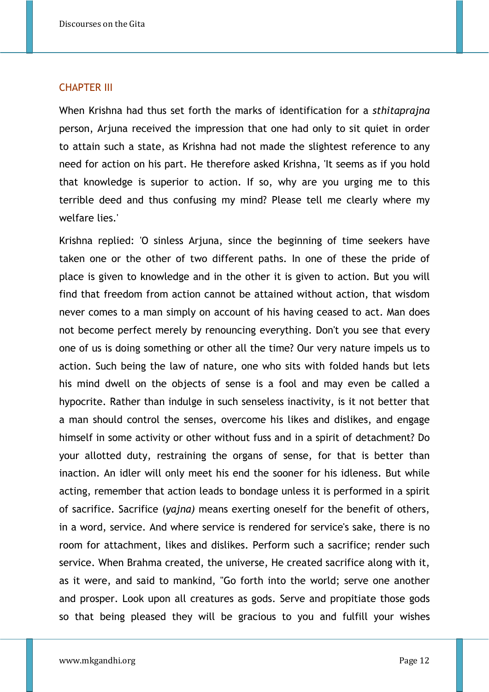#### CHAPTER III

When Krishna had thus set forth the marks of identification for a *sthitaprajna* person, Arjuna received the impression that one had only to sit quiet in order to attain such a state, as Krishna had not made the slightest reference to any need for action on his part. He therefore asked Krishna, 'It seems as if you hold that knowledge is superior to action. If so, why are you urging me to this terrible deed and thus confusing my mind? Please tell me clearly where my welfare lies.'

Krishna replied: 'O sinless Arjuna, since the beginning of time seekers have taken one or the other of two different paths. In one of these the pride of place is given to knowledge and in the other it is given to action. But you will find that freedom from action cannot be attained without action, that wisdom never comes to a man simply on account of his having ceased to act. Man does not become perfect merely by renouncing everything. Don't you see that every one of us is doing something or other all the time? Our very nature impels us to action. Such being the law of nature, one who sits with folded hands but lets his mind dwell on the objects of sense is a fool and may even be called a hypocrite. Rather than indulge in such senseless inactivity, is it not better that a man should control the senses, overcome his likes and dislikes, and engage himself in some activity or other without fuss and in a spirit of detachment? Do your allotted duty, restraining the organs of sense, for that is better than inaction. An idler will only meet his end the sooner for his idleness. But while acting, remember that action leads to bondage unless it is performed in a spirit of sacrifice. Sacrifice (*yajna)* means exerting oneself for the benefit of others, in a word, service. And where service is rendered for service's sake, there is no room for attachment, likes and dislikes. Perform such a sacrifice; render such service. When Brahma created, the universe, He created sacrifice along with it, as it were, and said to mankind, "Go forth into the world; serve one another and prosper. Look upon all creatures as gods. Serve and propitiate those gods so that being pleased they will be gracious to you and fulfill your wishes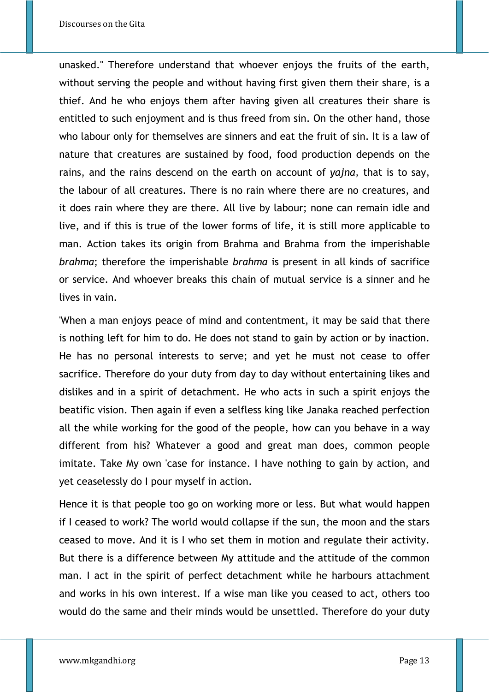unasked." Therefore understand that whoever enjoys the fruits of the earth, without serving the people and without having first given them their share, is a thief. And he who enjoys them after having given all creatures their share is entitled to such enjoyment and is thus freed from sin. On the other hand, those who labour only for themselves are sinners and eat the fruit of sin. It is a law of nature that creatures are sustained by food, food production depends on the rains, and the rains descend on the earth on account of *yajna,* that is to say, the labour of all creatures. There is no rain where there are no creatures, and it does rain where they are there. All live by labour; none can remain idle and live, and if this is true of the lower forms of life, it is still more applicable to man. Action takes its origin from Brahma and Brahma from the imperishable *brahma*; therefore the imperishable *brahma* is present in all kinds of sacrifice or service. And whoever breaks this chain of mutual service is a sinner and he lives in vain.

'When a man enjoys peace of mind and contentment, it may be said that there is nothing left for him to do. He does not stand to gain by action or by inaction. He has no personal interests to serve; and yet he must not cease to offer sacrifice. Therefore do your duty from day to day without entertaining likes and dislikes and in a spirit of detachment. He who acts in such a spirit enjoys the beatific vision. Then again if even a selfless king like Janaka reached perfection all the while working for the good of the people, how can you behave in a way different from his? Whatever a good and great man does, common people imitate. Take My own 'case for instance. I have nothing to gain by action, and yet ceaselessly do I pour myself in action.

Hence it is that people too go on working more or less. But what would happen if I ceased to work? The world would collapse if the sun, the moon and the stars ceased to move. And it is I who set them in motion and regulate their activity. But there is a difference between My attitude and the attitude of the common man. I act in the spirit of perfect detachment while he harbours attachment and works in his own interest. If a wise man like you ceased to act, others too would do the same and their minds would be unsettled. Therefore do your duty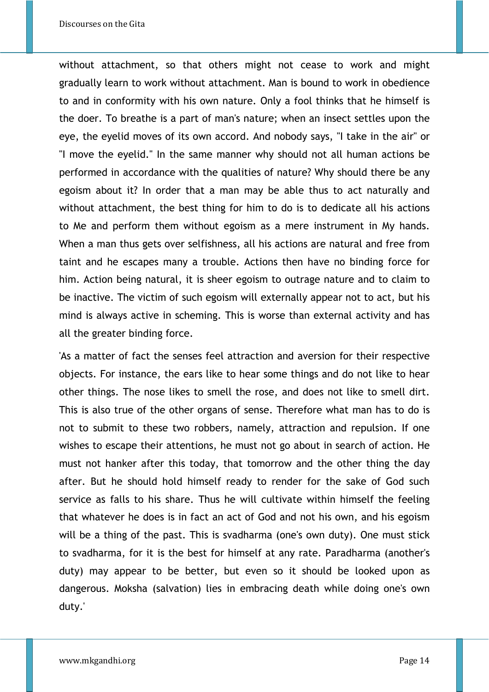without attachment, so that others might not cease to work and might gradually learn to work without attachment. Man is bound to work in obedience to and in conformity with his own nature. Only a fool thinks that he himself is the doer. To breathe is a part of man's nature; when an insect settles upon the eye, the eyelid moves of its own accord. And nobody says, "I take in the air" or "I move the eyelid." In the same manner why should not all human actions be performed in accordance with the qualities of nature? Why should there be any egoism about it? In order that a man may be able thus to act naturally and without attachment, the best thing for him to do is to dedicate all his actions to Me and perform them without egoism as a mere instrument in My hands. When a man thus gets over selfishness, all his actions are natural and free from taint and he escapes many a trouble. Actions then have no binding force for him. Action being natural, it is sheer egoism to outrage nature and to claim to be inactive. The victim of such egoism will externally appear not to act, but his mind is always active in scheming. This is worse than external activity and has all the greater binding force.

'As a matter of fact the senses feel attraction and aversion for their respective objects. For instance, the ears like to hear some things and do not like to hear other things. The nose likes to smell the rose, and does not like to smell dirt. This is also true of the other organs of sense. Therefore what man has to do is not to submit to these two robbers, namely, attraction and repulsion. If one wishes to escape their attentions, he must not go about in search of action. He must not hanker after this today, that tomorrow and the other thing the day after. But he should hold himself ready to render for the sake of God such service as falls to his share. Thus he will cultivate within himself the feeling that whatever he does is in fact an act of God and not his own, and his egoism will be a thing of the past. This is svadharma (one's own duty). One must stick to svadharma, for it is the best for himself at any rate. Paradharma (another's duty) may appear to be better, but even so it should be looked upon as dangerous. Moksha (salvation) lies in embracing death while doing one's own duty.'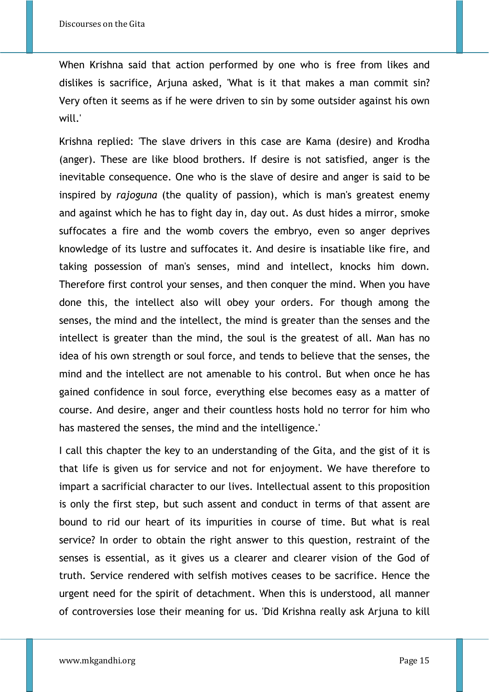When Krishna said that action performed by one who is free from likes and dislikes is sacrifice, Arjuna asked, 'What is it that makes a man commit sin? Very often it seems as if he were driven to sin by some outsider against his own will.'

Krishna replied: 'The slave drivers in this case are Kama (desire) and Krodha (anger). These are like blood brothers. If desire is not satisfied, anger is the inevitable consequence. One who is the slave of desire and anger is said to be inspired by *rajoguna* (the quality of passion), which is man's greatest enemy and against which he has to fight day in, day out. As dust hides a mirror, smoke suffocates a fire and the womb covers the embryo, even so anger deprives knowledge of its lustre and suffocates it. And desire is insatiable like fire, and taking possession of man's senses, mind and intellect, knocks him down. Therefore first control your senses, and then conquer the mind. When you have done this, the intellect also will obey your orders. For though among the senses, the mind and the intellect, the mind is greater than the senses and the intellect is greater than the mind, the soul is the greatest of all. Man has no idea of his own strength or soul force, and tends to believe that the senses, the mind and the intellect are not amenable to his control. But when once he has gained confidence in soul force, everything else becomes easy as a matter of course. And desire, anger and their countless hosts hold no terror for him who has mastered the senses, the mind and the intelligence.'

I call this chapter the key to an understanding of the Gita, and the gist of it is that life is given us for service and not for enjoyment. We have therefore to impart a sacrificial character to our lives. Intellectual assent to this proposition is only the first step, but such assent and conduct in terms of that assent are bound to rid our heart of its impurities in course of time. But what is real service? In order to obtain the right answer to this question, restraint of the senses is essential, as it gives us a clearer and clearer vision of the God of truth. Service rendered with selfish motives ceases to be sacrifice. Hence the urgent need for the spirit of detachment. When this is understood, all manner of controversies lose their meaning for us. 'Did Krishna really ask Arjuna to kill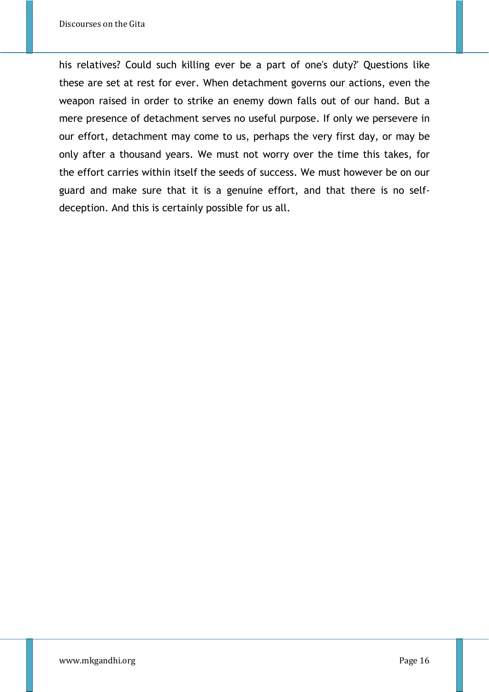his relatives? Could such killing ever be a part of one's duty?' Questions like these are set at rest for ever. When detachment governs our actions, even the weapon raised in order to strike an enemy down falls out of our hand. But a mere presence of detachment serves no useful purpose. If only we persevere in our effort, detachment may come to us, perhaps the very first day, or may be only after a thousand years. We must not worry over the time this takes, for the effort carries within itself the seeds of success. We must however be on our guard and make sure that it is a genuine effort, and that there is no selfdeception. And this is certainly possible for us all.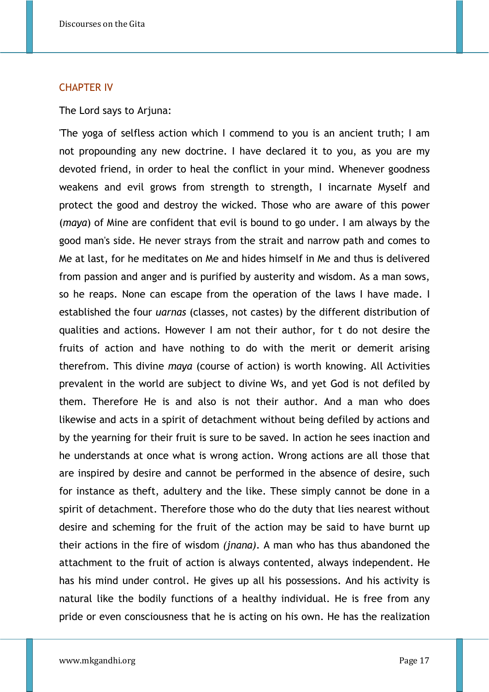#### CHAPTER IV

The Lord says to Arjuna:

'The yoga of selfless action which I commend to you is an ancient truth; I am not propounding any new doctrine. I have declared it to you, as you are my devoted friend, in order to heal the conflict in your mind. Whenever goodness weakens and evil grows from strength to strength, I incarnate Myself and protect the good and destroy the wicked. Those who are aware of this power (*maya*) of Mine are confident that evil is bound to go under. I am always by the good man's side. He never strays from the strait and narrow path and comes to Me at last, for he meditates on Me and hides himself in Me and thus is delivered from passion and anger and is purified by austerity and wisdom. As a man sows, so he reaps. None can escape from the operation of the laws I have made. I established the four *uarnas* (classes, not castes) by the different distribution of qualities and actions. However I am not their author, for t do not desire the fruits of action and have nothing to do with the merit or demerit arising therefrom. This divine *maya* (course of action) is worth knowing. All Activities prevalent in the world are subject to divine Ws, and yet God is not defiled by them. Therefore He is and also is not their author. And a man who does likewise and acts in a spirit of detachment without being defiled by actions and by the yearning for their fruit is sure to be saved. In action he sees inaction and he understands at once what is wrong action. Wrong actions are all those that are inspired by desire and cannot be performed in the absence of desire, such for instance as theft, adultery and the like. These simply cannot be done in a spirit of detachment. Therefore those who do the duty that lies nearest without desire and scheming for the fruit of the action may be said to have burnt up their actions in the fire of wisdom *(jnana).* A man who has thus abandoned the attachment to the fruit of action is always contented, always independent. He has his mind under control. He gives up all his possessions. And his activity is natural like the bodily functions of a healthy individual. He is free from any pride or even consciousness that he is acting on his own. He has the realization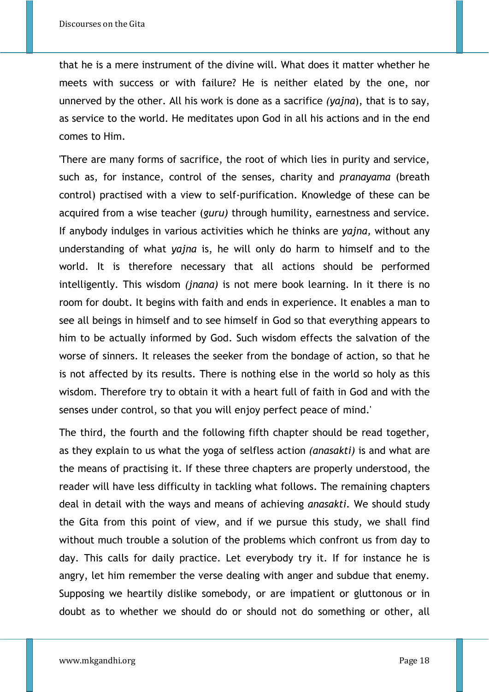that he is a mere instrument of the divine will. What does it matter whether he meets with success or with failure? He is neither elated by the one, nor unnerved by the other. All his work is done as a sacrifice *(yajna*), that is to say, as service to the world. He meditates upon God in all his actions and in the end comes to Him.

'There are many forms of sacrifice, the root of which lies in purity and service, such as, for instance, control of the senses, charity and *pranayama* (breath control) practised with a view to self-purification. Knowledge of these can be acquired from a wise teacher (*guru)* through humility, earnestness and service. If anybody indulges in various activities which he thinks are *yajna,* without any understanding of what *yajna* is, he will only do harm to himself and to the world. It is therefore necessary that all actions should be performed intelligently. This wisdom *(jnana)* is not mere book learning. In it there is no room for doubt. It begins with faith and ends in experience. It enables a man to see all beings in himself and to see himself in God so that everything appears to him to be actually informed by God. Such wisdom effects the salvation of the worse of sinners. It releases the seeker from the bondage of action, so that he is not affected by its results. There is nothing else in the world so holy as this wisdom. Therefore try to obtain it with a heart full of faith in God and with the senses under control, so that you will enjoy perfect peace of mind.'

The third, the fourth and the following fifth chapter should be read together, as they explain to us what the yoga of selfless action *(anasakti)* is and what are the means of practising it. If these three chapters are properly understood, the reader will have less difficulty in tackling what follows. The remaining chapters deal in detail with the ways and means of achieving *anasakti.* We should study the Gita from this point of view, and if we pursue this study, we shall find without much trouble a solution of the problems which confront us from day to day. This calls for daily practice. Let everybody try it. If for instance he is angry, let him remember the verse dealing with anger and subdue that enemy. Supposing we heartily dislike somebody, or are impatient or gluttonous or in doubt as to whether we should do or should not do something or other, all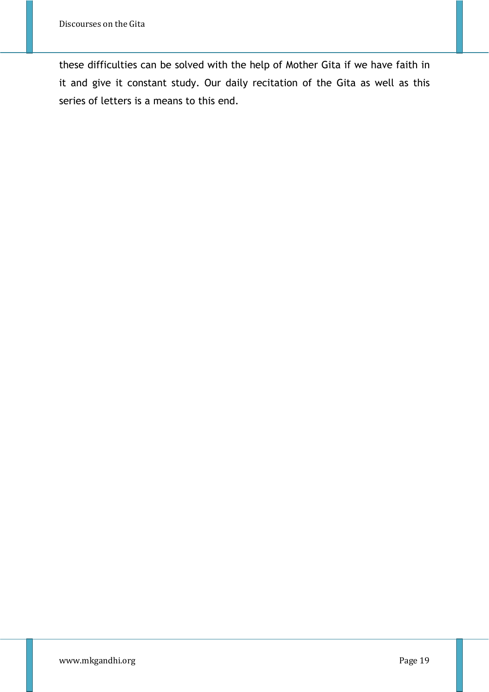these difficulties can be solved with the help of Mother Gita if we have faith in it and give it constant study. Our daily recitation of the Gita as well as this series of letters is a means to this end.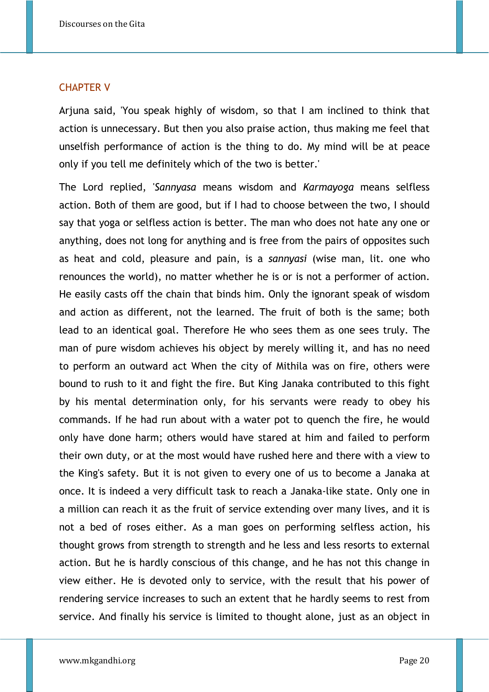#### CHAPTER V

Arjuna said, 'You speak highly of wisdom, so that I am inclined to think that action is unnecessary. But then you also praise action, thus making me feel that unselfish performance of action is the thing to do. My mind will be at peace only if you tell me definitely which of the two is better.'

The Lord replied, '*Sannyasa* means wisdom and *Karmayoga* means selfless action. Both of them are good, but if I had to choose between the two, I should say that yoga or selfless action is better. The man who does not hate any one or anything, does not long for anything and is free from the pairs of opposites such as heat and cold, pleasure and pain, is a *sannyasi* (wise man, lit. one who renounces the world), no matter whether he is or is not a performer of action. He easily casts off the chain that binds him. Only the ignorant speak of wisdom and action as different, not the learned. The fruit of both is the same; both lead to an identical goal. Therefore He who sees them as one sees truly. The man of pure wisdom achieves his object by merely willing it, and has no need to perform an outward act When the city of Mithila was on fire, others were bound to rush to it and fight the fire. But King Janaka contributed to this fight by his mental determination only, for his servants were ready to obey his commands. If he had run about with a water pot to quench the fire, he would only have done harm; others would have stared at him and failed to perform their own duty, or at the most would have rushed here and there with a view to the King's safety. But it is not given to every one of us to become a Janaka at once. It is indeed a very difficult task to reach a Janaka-like state. Only one in a million can reach it as the fruit of service extending over many lives, and it is not a bed of roses either. As a man goes on performing selfless action, his thought grows from strength to strength and he less and less resorts to external action. But he is hardly conscious of this change, and he has not this change in view either. He is devoted only to service, with the result that his power of rendering service increases to such an extent that he hardly seems to rest from service. And finally his service is limited to thought alone, just as an object in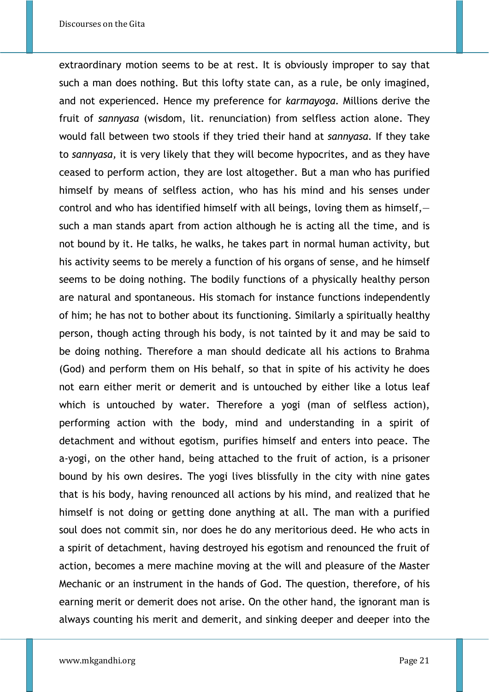extraordinary motion seems to be at rest. It is obviously improper to say that such a man does nothing. But this lofty state can, as a rule, be only imagined, and not experienced. Hence my preference for *karmayoga.* Millions derive the fruit of *sannyasa* (wisdom, lit. renunciation) from selfless action alone. They would fall between two stools if they tried their hand at *sannyasa.* If they take to *sannyasa,* it is very likely that they will become hypocrites, and as they have ceased to perform action, they are lost altogether. But a man who has purified himself by means of selfless action, who has his mind and his senses under control and who has identified himself with all beings, loving them as himself, such a man stands apart from action although he is acting all the time, and is not bound by it. He talks, he walks, he takes part in normal human activity, but his activity seems to be merely a function of his organs of sense, and he himself seems to be doing nothing. The bodily functions of a physically healthy person are natural and spontaneous. His stomach for instance functions independently of him; he has not to bother about its functioning. Similarly a spiritually healthy person, though acting through his body, is not tainted by it and may be said to be doing nothing. Therefore a man should dedicate all his actions to Brahma (God) and perform them on His behalf, so that in spite of his activity he does not earn either merit or demerit and is untouched by either like a lotus leaf which is untouched by water. Therefore a yogi (man of selfless action), performing action with the body, mind and understanding in a spirit of detachment and without egotism, purifies himself and enters into peace. The a-yogi, on the other hand, being attached to the fruit of action, is a prisoner bound by his own desires. The yogi lives blissfully in the city with nine gates that is his body, having renounced all actions by his mind, and realized that he himself is not doing or getting done anything at all. The man with a purified soul does not commit sin, nor does he do any meritorious deed. He who acts in a spirit of detachment, having destroyed his egotism and renounced the fruit of action, becomes a mere machine moving at the will and pleasure of the Master Mechanic or an instrument in the hands of God. The question, therefore, of his earning merit or demerit does not arise. On the other hand, the ignorant man is always counting his merit and demerit, and sinking deeper and deeper into the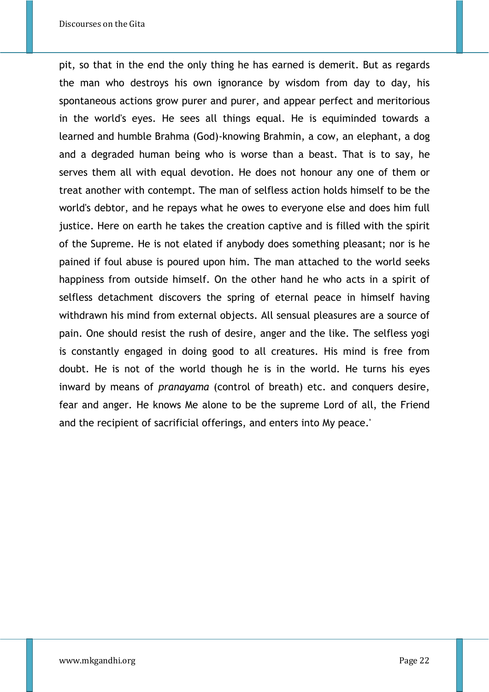pit, so that in the end the only thing he has earned is demerit. But as regards the man who destroys his own ignorance by wisdom from day to day, his spontaneous actions grow purer and purer, and appear perfect and meritorious in the world's eyes. He sees all things equal. He is equiminded towards a learned and humble Brahma (God)-knowing Brahmin, a cow, an elephant, a dog and a degraded human being who is worse than a beast. That is to say, he serves them all with equal devotion. He does not honour any one of them or treat another with contempt. The man of selfless action holds himself to be the world's debtor, and he repays what he owes to everyone else and does him full justice. Here on earth he takes the creation captive and is filled with the spirit of the Supreme. He is not elated if anybody does something pleasant; nor is he pained if foul abuse is poured upon him. The man attached to the world seeks happiness from outside himself. On the other hand he who acts in a spirit of selfless detachment discovers the spring of eternal peace in himself having withdrawn his mind from external objects. All sensual pleasures are a source of pain. One should resist the rush of desire, anger and the like. The selfless yogi is constantly engaged in doing good to all creatures. His mind is free from doubt. He is not of the world though he is in the world. He turns his eyes inward by means of *pranayama* (control of breath) etc. and conquers desire, fear and anger. He knows Me alone to be the supreme Lord of all, the Friend and the recipient of sacrificial offerings, and enters into My peace.'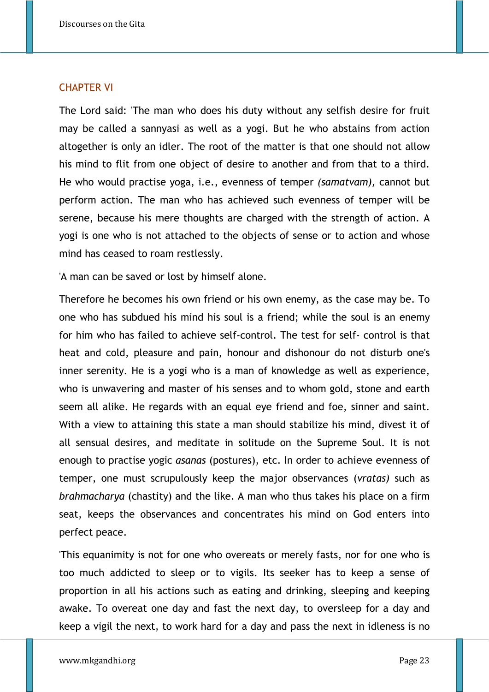## CHAPTER VI

The Lord said: 'The man who does his duty without any selfish desire for fruit may be called a sannyasi as well as a yogi. But he who abstains from action altogether is only an idler. The root of the matter is that one should not allow his mind to flit from one object of desire to another and from that to a third. He who would practise yoga, i.e., evenness of temper *(samatvam),* cannot but perform action. The man who has achieved such evenness of temper will be serene, because his mere thoughts are charged with the strength of action. A yogi is one who is not attached to the objects of sense or to action and whose mind has ceased to roam restlessly.

'A man can be saved or lost by himself alone.

Therefore he becomes his own friend or his own enemy, as the case may be. To one who has subdued his mind his soul is a friend; while the soul is an enemy for him who has failed to achieve self-control. The test for self- control is that heat and cold, pleasure and pain, honour and dishonour do not disturb one's inner serenity. He is a yogi who is a man of knowledge as well as experience, who is unwavering and master of his senses and to whom gold, stone and earth seem all alike. He regards with an equal eye friend and foe, sinner and saint. With a view to attaining this state a man should stabilize his mind, divest it of all sensual desires, and meditate in solitude on the Supreme Soul. It is not enough to practise yogic *asanas* (postures), etc. In order to achieve evenness of temper, one must scrupulously keep the major observances (*vratas)* such as *brahmacharya* (chastity) and the like. A man who thus takes his place on a firm seat, keeps the observances and concentrates his mind on God enters into perfect peace.

'This equanimity is not for one who overeats or merely fasts, nor for one who is too much addicted to sleep or to vigils. Its seeker has to keep a sense of proportion in all his actions such as eating and drinking, sleeping and keeping awake. To overeat one day and fast the next day, to oversleep for a day and keep a vigil the next, to work hard for a day and pass the next in idleness is no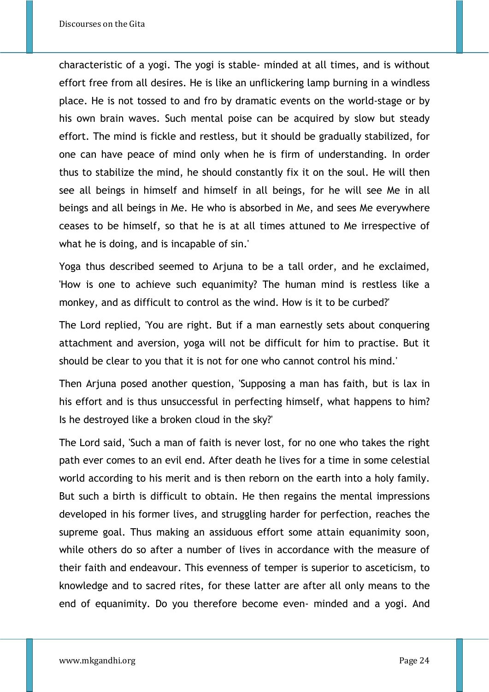characteristic of a yogi. The yogi is stable- minded at all times, and is without effort free from all desires. He is like an unflickering lamp burning in a windless place. He is not tossed to and fro by dramatic events on the world-stage or by his own brain waves. Such mental poise can be acquired by slow but steady effort. The mind is fickle and restless, but it should be gradually stabilized, for one can have peace of mind only when he is firm of understanding. In order thus to stabilize the mind, he should constantly fix it on the soul. He will then see all beings in himself and himself in all beings, for he will see Me in all beings and all beings in Me. He who is absorbed in Me, and sees Me everywhere ceases to be himself, so that he is at all times attuned to Me irrespective of what he is doing, and is incapable of sin.'

Yoga thus described seemed to Arjuna to be a tall order, and he exclaimed, 'How is one to achieve such equanimity? The human mind is restless like a monkey, and as difficult to control as the wind. How is it to be curbed?'

The Lord replied, 'You are right. But if a man earnestly sets about conquering attachment and aversion, yoga will not be difficult for him to practise. But it should be clear to you that it is not for one who cannot control his mind.'

Then Arjuna posed another question, 'Supposing a man has faith, but is lax in his effort and is thus unsuccessful in perfecting himself, what happens to him? Is he destroyed like a broken cloud in the sky?'

The Lord said, 'Such a man of faith is never lost, for no one who takes the right path ever comes to an evil end. After death he lives for a time in some celestial world according to his merit and is then reborn on the earth into a holy family. But such a birth is difficult to obtain. He then regains the mental impressions developed in his former lives, and struggling harder for perfection, reaches the supreme goal. Thus making an assiduous effort some attain equanimity soon, while others do so after a number of lives in accordance with the measure of their faith and endeavour. This evenness of temper is superior to asceticism, to knowledge and to sacred rites, for these latter are after all only means to the end of equanimity. Do you therefore become even- minded and a yogi. And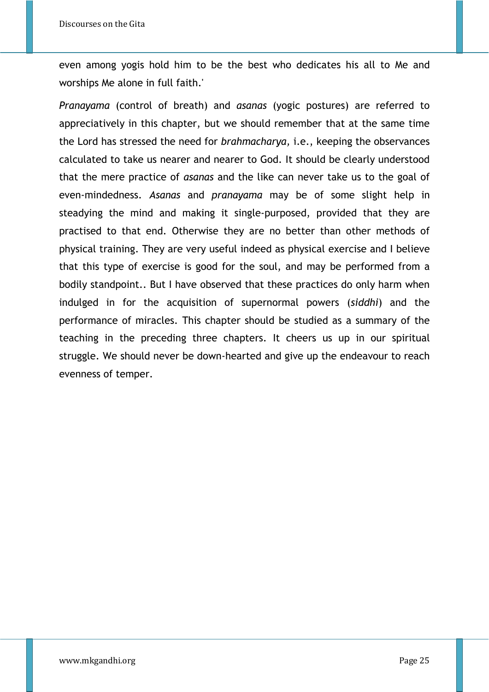even among yogis hold him to be the best who dedicates his all to Me and worships Me alone in full faith.'

*Pranayama* (control of breath) and *asanas* (yogic postures) are referred to appreciatively in this chapter, but we should remember that at the same time the Lord has stressed the need for *brahmacharya,* i.e., keeping the observances calculated to take us nearer and nearer to God. It should be clearly understood that the mere practice of *asanas* and the like can never take us to the goal of even-mindedness. *Asanas* and *pranayama* may be of some slight help in steadying the mind and making it single-purposed, provided that they are practised to that end. Otherwise they are no better than other methods of physical training. They are very useful indeed as physical exercise and I believe that this type of exercise is good for the soul, and may be performed from a bodily standpoint.. But I have observed that these practices do only harm when indulged in for the acquisition of supernormal powers (*siddhi*) and the performance of miracles. This chapter should be studied as a summary of the teaching in the preceding three chapters. It cheers us up in our spiritual struggle. We should never be down-hearted and give up the endeavour to reach evenness of temper.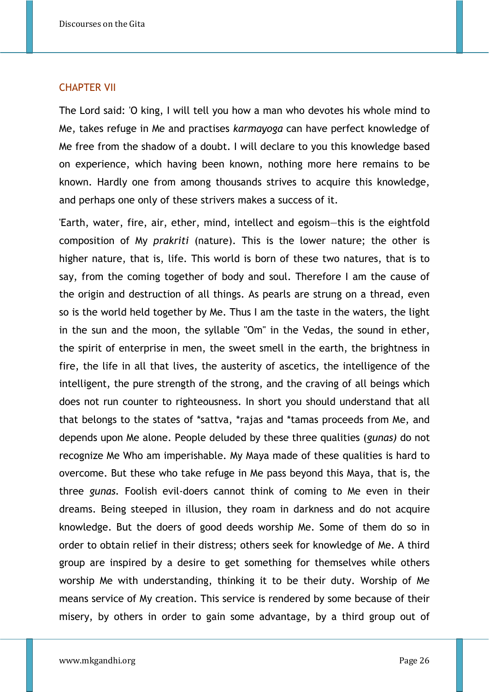#### CHAPTER VII

The Lord said: 'O king, I will tell you how a man who devotes his whole mind to Me, takes refuge in Me and practises *karmayoga* can have perfect knowledge of Me free from the shadow of a doubt. I will declare to you this knowledge based on experience, which having been known, nothing more here remains to be known. Hardly one from among thousands strives to acquire this knowledge, and perhaps one only of these strivers makes a success of it.

'Earth, water, fire, air, ether, mind, intellect and egoism—this is the eightfold composition of My *prakriti* (nature). This is the lower nature; the other is higher nature, that is, life. This world is born of these two natures, that is to say, from the coming together of body and soul. Therefore I am the cause of the origin and destruction of all things. As pearls are strung on a thread, even so is the world held together by Me. Thus I am the taste in the waters, the light in the sun and the moon, the syllable "Om" in the Vedas, the sound in ether, the spirit of enterprise in men, the sweet smell in the earth, the brightness in fire, the life in all that lives, the austerity of ascetics, the intelligence of the intelligent, the pure strength of the strong, and the craving of all beings which does not run counter to righteousness. In short you should understand that all that belongs to the states of \*sattva, \*rajas and \*tamas proceeds from Me, and depends upon Me alone. People deluded by these three qualities (*gunas)* do not recognize Me Who am imperishable. My Maya made of these qualities is hard to overcome. But these who take refuge in Me pass beyond this Maya, that is, the three *gunas.* Foolish evil-doers cannot think of coming to Me even in their dreams. Being steeped in illusion, they roam in darkness and do not acquire knowledge. But the doers of good deeds worship Me. Some of them do so in order to obtain relief in their distress; others seek for knowledge of Me. A third group are inspired by a desire to get something for themselves while others worship Me with understanding, thinking it to be their duty. Worship of Me means service of My creation. This service is rendered by some because of their misery, by others in order to gain some advantage, by a third group out of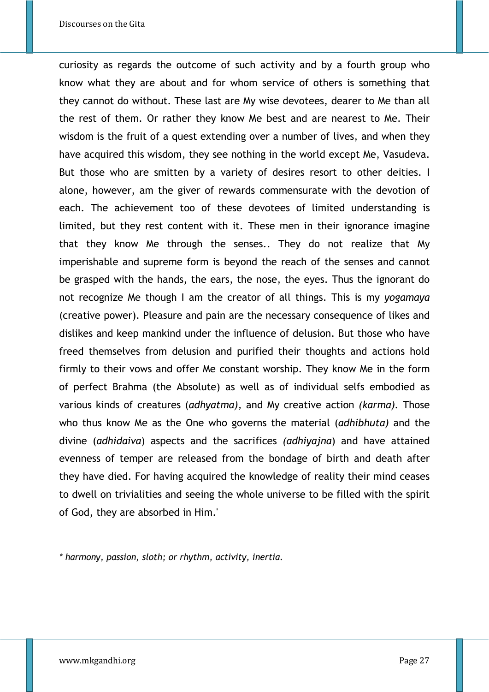curiosity as regards the outcome of such activity and by a fourth group who know what they are about and for whom service of others is something that they cannot do without. These last are My wise devotees, dearer to Me than all the rest of them. Or rather they know Me best and are nearest to Me. Their wisdom is the fruit of a quest extending over a number of lives, and when they have acquired this wisdom, they see nothing in the world except Me, Vasudeva. But those who are smitten by a variety of desires resort to other deities. I alone, however, am the giver of rewards commensurate with the devotion of each. The achievement too of these devotees of limited understanding is limited, but they rest content with it. These men in their ignorance imagine that they know Me through the senses.. They do not realize that My imperishable and supreme form is beyond the reach of the senses and cannot be grasped with the hands, the ears, the nose, the eyes. Thus the ignorant do not recognize Me though I am the creator of all things. This is my *yogamaya* (creative power). Pleasure and pain are the necessary consequence of likes and dislikes and keep mankind under the influence of delusion. But those who have freed themselves from delusion and purified their thoughts and actions hold firmly to their vows and offer Me constant worship. They know Me in the form of perfect Brahma (the Absolute) as well as of individual selfs embodied as various kinds of creatures (*adhyatma),* and My creative action *(karma).* Those who thus know Me as the One who governs the material (*adhibhuta)* and the divine (*adhidaiva*) aspects and the sacrifices *(adhiyajna*) and have attained evenness of temper are released from the bondage of birth and death after they have died. For having acquired the knowledge of reality their mind ceases to dwell on trivialities and seeing the whole universe to be filled with the spirit of God, they are absorbed in Him.'

*\* harmony, passion, sloth; or rhythm, activity, inertia.*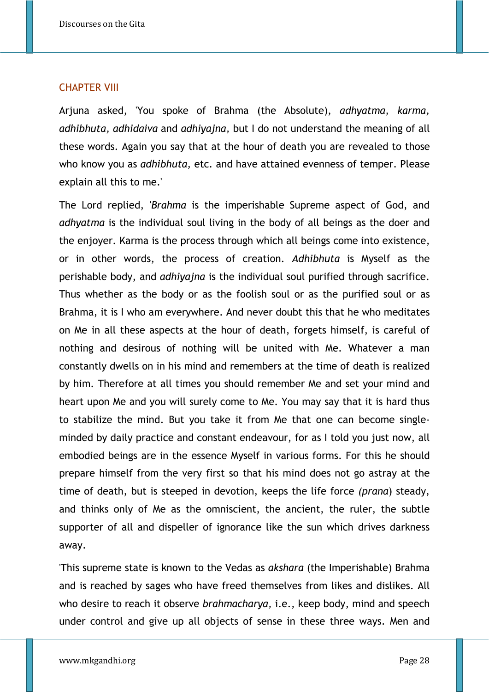#### CHAPTER VIII

Arjuna asked, 'You spoke of Brahma (the Absolute), *adhyatma, karma, adhibhuta, adhidaiva* and *adhiyajna,* but I do not understand the meaning of all these words. Again you say that at the hour of death you are revealed to those who know you as *adhibhuta,* etc. and have attained evenness of temper. Please explain all this to me.'

The Lord replied, '*Brahma* is the imperishable Supreme aspect of God, and *adhyatma* is the individual soul living in the body of all beings as the doer and the enjoyer. Karma is the process through which all beings come into existence, or in other words, the process of creation. *Adhibhuta* is Myself as the perishable body, and *adhiyajna* is the individual soul purified through sacrifice. Thus whether as the body or as the foolish soul or as the purified soul or as Brahma, it is I who am everywhere. And never doubt this that he who meditates on Me in all these aspects at the hour of death, forgets himself, is careful of nothing and desirous of nothing will be united with Me. Whatever a man constantly dwells on in his mind and remembers at the time of death is realized by him. Therefore at all times you should remember Me and set your mind and heart upon Me and you will surely come to Me. You may say that it is hard thus to stabilize the mind. But you take it from Me that one can become singleminded by daily practice and constant endeavour, for as I told you just now, all embodied beings are in the essence Myself in various forms. For this he should prepare himself from the very first so that his mind does not go astray at the time of death, but is steeped in devotion, keeps the life force *(prana*) steady, and thinks only of Me as the omniscient, the ancient, the ruler, the subtle supporter of all and dispeller of ignorance like the sun which drives darkness away.

'This supreme state is known to the Vedas as *akshara* (the Imperishable) Brahma and is reached by sages who have freed themselves from likes and dislikes. All who desire to reach it observe *brahmacharya,* i.e., keep body, mind and speech under control and give up all objects of sense in these three ways. Men and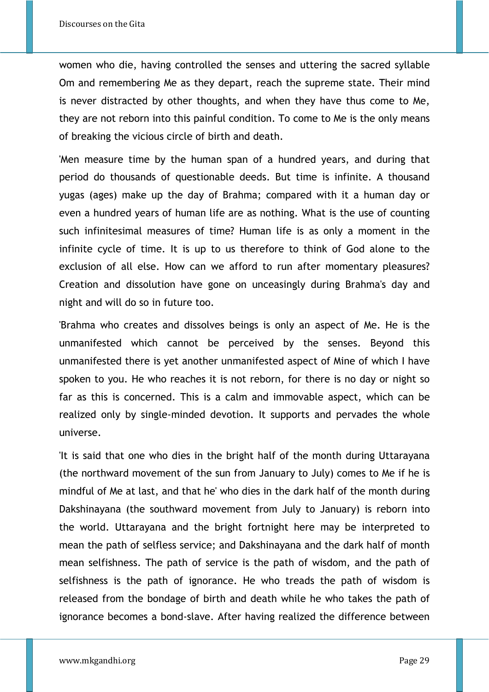women who die, having controlled the senses and uttering the sacred syllable Om and remembering Me as they depart, reach the supreme state. Their mind is never distracted by other thoughts, and when they have thus come to Me, they are not reborn into this painful condition. To come to Me is the only means of breaking the vicious circle of birth and death.

'Men measure time by the human span of a hundred years, and during that period do thousands of questionable deeds. But time is infinite. A thousand yugas (ages) make up the day of Brahma; compared with it a human day or even a hundred years of human life are as nothing. What is the use of counting such infinitesimal measures of time? Human life is as only a moment in the infinite cycle of time. It is up to us therefore to think of God alone to the exclusion of all else. How can we afford to run after momentary pleasures? Creation and dissolution have gone on unceasingly during Brahma's day and night and will do so in future too.

'Brahma who creates and dissolves beings is only an aspect of Me. He is the unmanifested which cannot be perceived by the senses. Beyond this unmanifested there is yet another unmanifested aspect of Mine of which I have spoken to you. He who reaches it is not reborn, for there is no day or night so far as this is concerned. This is a calm and immovable aspect, which can be realized only by single-minded devotion. It supports and pervades the whole universe.

'It is said that one who dies in the bright half of the month during Uttarayana (the northward movement of the sun from January to July) comes to Me if he is mindful of Me at last, and that he' who dies in the dark half of the month during Dakshinayana (the southward movement from July to January) is reborn into the world. Uttarayana and the bright fortnight here may be interpreted to mean the path of selfless service; and Dakshinayana and the dark half of month mean selfishness. The path of service is the path of wisdom, and the path of selfishness is the path of ignorance. He who treads the path of wisdom is released from the bondage of birth and death while he who takes the path of ignorance becomes a bond-slave. After having realized the difference between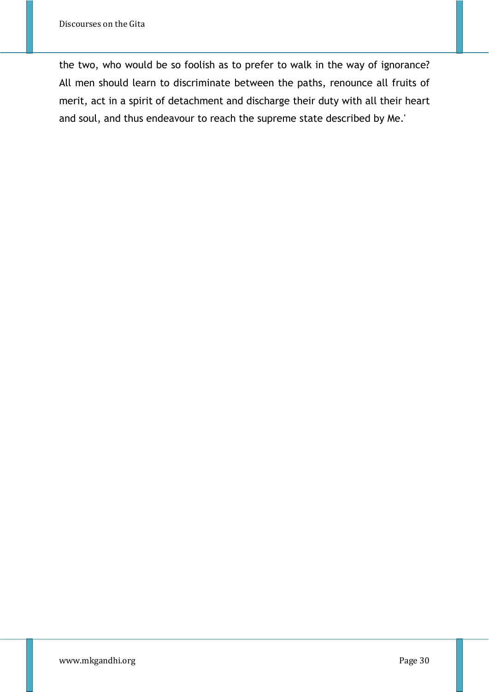the two, who would be so foolish as to prefer to walk in the way of ignorance? All men should learn to discriminate between the paths, renounce all fruits of merit, act in a spirit of detachment and discharge their duty with all their heart and soul, and thus endeavour to reach the supreme state described by Me.'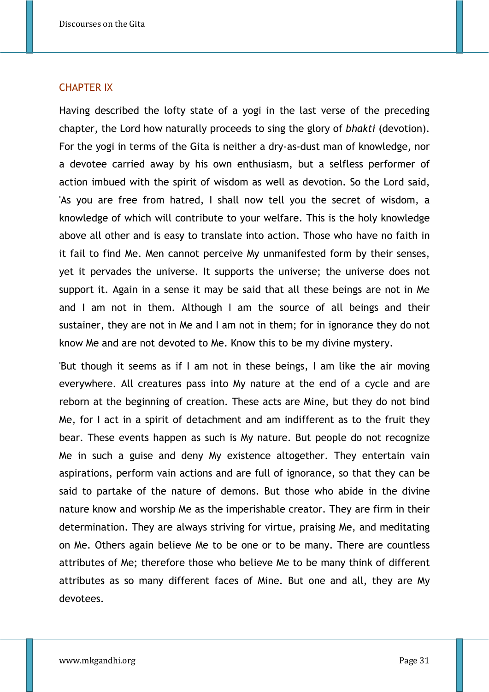## CHAPTER IX

Having described the lofty state of a yogi in the last verse of the preceding chapter, the Lord how naturally proceeds to sing the glory of *bhakti* (devotion). For the yogi in terms of the Gita is neither a dry-as-dust man of knowledge, nor a devotee carried away by his own enthusiasm, but a selfless performer of action imbued with the spirit of wisdom as well as devotion. So the Lord said, 'As you are free from hatred, I shall now tell you the secret of wisdom, a knowledge of which will contribute to your welfare. This is the holy knowledge above all other and is easy to translate into action. Those who have no faith in it fail to find Me. Men cannot perceive My unmanifested form by their senses, yet it pervades the universe. It supports the universe; the universe does not support it. Again in a sense it may be said that all these beings are not in Me and I am not in them. Although I am the source of all beings and their sustainer, they are not in Me and I am not in them; for in ignorance they do not know Me and are not devoted to Me. Know this to be my divine mystery.

'But though it seems as if I am not in these beings, I am like the air moving everywhere. All creatures pass into My nature at the end of a cycle and are reborn at the beginning of creation. These acts are Mine, but they do not bind Me, for I act in a spirit of detachment and am indifferent as to the fruit they bear. These events happen as such is My nature. But people do not recognize Me in such a guise and deny My existence altogether. They entertain vain aspirations, perform vain actions and are full of ignorance, so that they can be said to partake of the nature of demons. But those who abide in the divine nature know and worship Me as the imperishable creator. They are firm in their determination. They are always striving for virtue, praising Me, and meditating on Me. Others again believe Me to be one or to be many. There are countless attributes of Me; therefore those who believe Me to be many think of different attributes as so many different faces of Mine. But one and all, they are My devotees.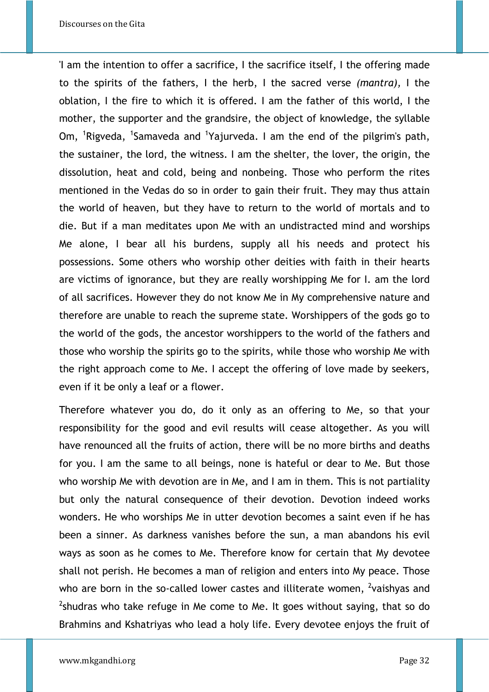'I am the intention to offer a sacrifice, I the sacrifice itself, I the offering made to the spirits of the fathers, I the herb, I the sacred verse *(mantra),* I the oblation, I the fire to which it is offered. I am the father of this world, I the mother, the supporter and the grandsire, the object of knowledge, the syllable Om, <sup>1</sup>Rigveda, <sup>1</sup>Samaveda and <sup>1</sup>Yajurveda. I am the end of the pilgrim's path, the sustainer, the lord, the witness. I am the shelter, the lover, the origin, the dissolution, heat and cold, being and nonbeing. Those who perform the rites mentioned in the Vedas do so in order to gain their fruit. They may thus attain the world of heaven, but they have to return to the world of mortals and to die. But if a man meditates upon Me with an undistracted mind and worships Me alone, I bear all his burdens, supply all his needs and protect his possessions. Some others who worship other deities with faith in their hearts are victims of ignorance, but they are really worshipping Me for I. am the lord of all sacrifices. However they do not know Me in My comprehensive nature and therefore are unable to reach the supreme state. Worshippers of the gods go to the world of the gods, the ancestor worshippers to the world of the fathers and those who worship the spirits go to the spirits, while those who worship Me with the right approach come to Me. I accept the offering of love made by seekers, even if it be only a leaf or a flower.

Therefore whatever you do, do it only as an offering to Me, so that your responsibility for the good and evil results will cease altogether. As you will have renounced all the fruits of action, there will be no more births and deaths for you. I am the same to all beings, none is hateful or dear to Me. But those who worship Me with devotion are in Me, and I am in them. This is not partiality but only the natural consequence of their devotion. Devotion indeed works wonders. He who worships Me in utter devotion becomes a saint even if he has been a sinner. As darkness vanishes before the sun, a man abandons his evil ways as soon as he comes to Me. Therefore know for certain that My devotee shall not perish. He becomes a man of religion and enters into My peace. Those who are born in the so-called lower castes and illiterate women, <sup>2</sup>vaishyas and  $2$ shudras who take refuge in Me come to Me. It goes without saying, that so do Brahmins and Kshatriyas who lead a holy life. Every devotee enjoys the fruit of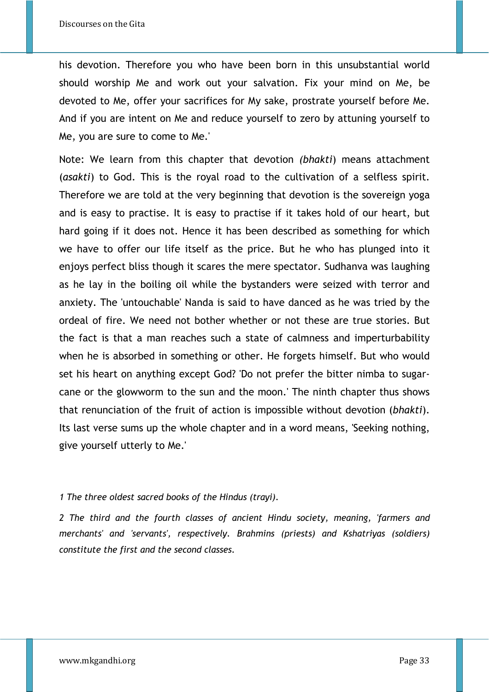his devotion. Therefore you who have been born in this unsubstantial world should worship Me and work out your salvation. Fix your mind on Me, be devoted to Me, offer your sacrifices for My sake, prostrate yourself before Me. And if you are intent on Me and reduce yourself to zero by attuning yourself to Me, you are sure to come to Me.'

Note: We learn from this chapter that devotion *(bhakti*) means attachment (*asakti*) to God. This is the royal road to the cultivation of a selfless spirit. Therefore we are told at the very beginning that devotion is the sovereign yoga and is easy to practise. It is easy to practise if it takes hold of our heart, but hard going if it does not. Hence it has been described as something for which we have to offer our life itself as the price. But he who has plunged into it enjoys perfect bliss though it scares the mere spectator. Sudhanva was laughing as he lay in the boiling oil while the bystanders were seized with terror and anxiety. The 'untouchable' Nanda is said to have danced as he was tried by the ordeal of fire. We need not bother whether or not these are true stories. But the fact is that a man reaches such a state of calmness and imperturbability when he is absorbed in something or other. He forgets himself. But who would set his heart on anything except God? 'Do not prefer the bitter nimba to sugarcane or the glowworm to the sun and the moon.' The ninth chapter thus shows that renunciation of the fruit of action is impossible without devotion (*bhakti*). Its last verse sums up the whole chapter and in a word means, 'Seeking nothing, give yourself utterly to Me.'

## *1 The three oldest sacred books of the Hindus (trayi).*

*2 The third and the fourth classes of ancient Hindu society, meaning, 'farmers and merchants' and 'servants', respectively. Brahmins (priests) and Kshatriyas (soldiers) constitute the first and the second classes.*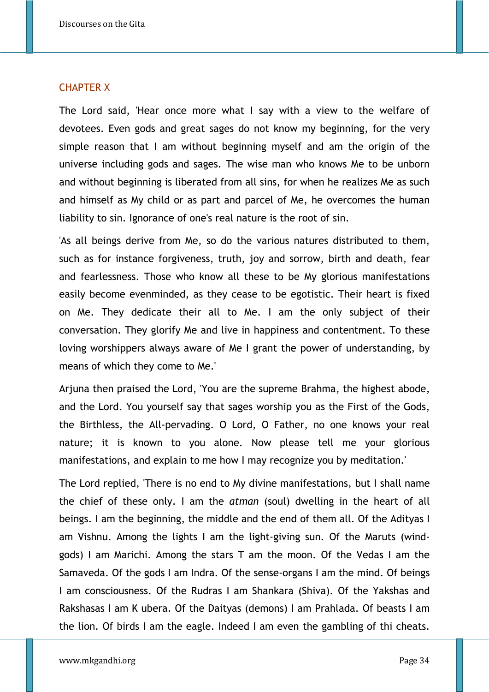#### CHAPTER X

The Lord said, 'Hear once more what I say with a view to the welfare of devotees. Even gods and great sages do not know my beginning, for the very simple reason that I am without beginning myself and am the origin of the universe including gods and sages. The wise man who knows Me to be unborn and without beginning is liberated from all sins, for when he realizes Me as such and himself as My child or as part and parcel of Me, he overcomes the human liability to sin. Ignorance of one's real nature is the root of sin.

'As all beings derive from Me, so do the various natures distributed to them, such as for instance forgiveness, truth, joy and sorrow, birth and death, fear and fearlessness. Those who know all these to be My glorious manifestations easily become evenminded, as they cease to be egotistic. Their heart is fixed on Me. They dedicate their all to Me. I am the only subject of their conversation. They glorify Me and live in happiness and contentment. To these loving worshippers always aware of Me I grant the power of understanding, by means of which they come to Me.'

Arjuna then praised the Lord, 'You are the supreme Brahma, the highest abode, and the Lord. You yourself say that sages worship you as the First of the Gods, the Birthless, the All-pervading. O Lord, O Father, no one knows your real nature; it is known to you alone. Now please tell me your glorious manifestations, and explain to me how I may recognize you by meditation.'

The Lord replied, 'There is no end to My divine manifestations, but I shall name the chief of these only. I am the *atman* (soul) dwelling in the heart of all beings. I am the beginning, the middle and the end of them all. Of the Adityas I am Vishnu. Among the lights I am the light-giving sun. Of the Maruts (windgods) I am Marichi. Among the stars T am the moon. Of the Vedas I am the Samaveda. Of the gods I am Indra. Of the sense-organs I am the mind. Of beings I am consciousness. Of the Rudras I am Shankara (Shiva). Of the Yakshas and Rakshasas I am K ubera. Of the Daityas (demons) I am Prahlada. Of beasts I am the lion. Of birds I am the eagle. Indeed I am even the gambling of thi cheats.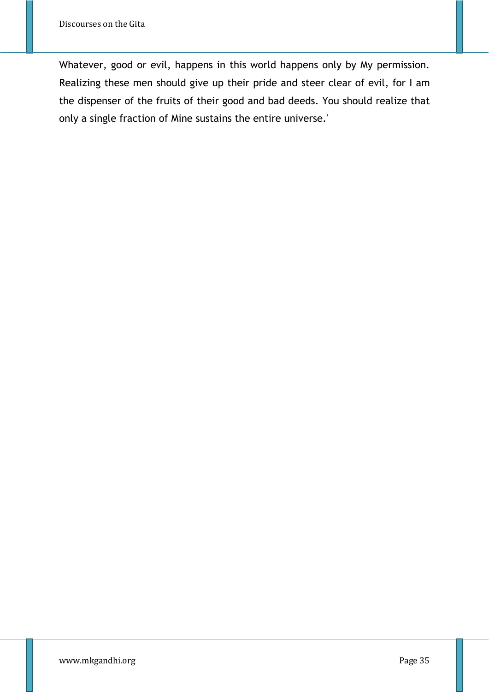Whatever, good or evil, happens in this world happens only by My permission. Realizing these men should give up their pride and steer clear of evil, for I am the dispenser of the fruits of their good and bad deeds. You should realize that only a single fraction of Mine sustains the entire universe.'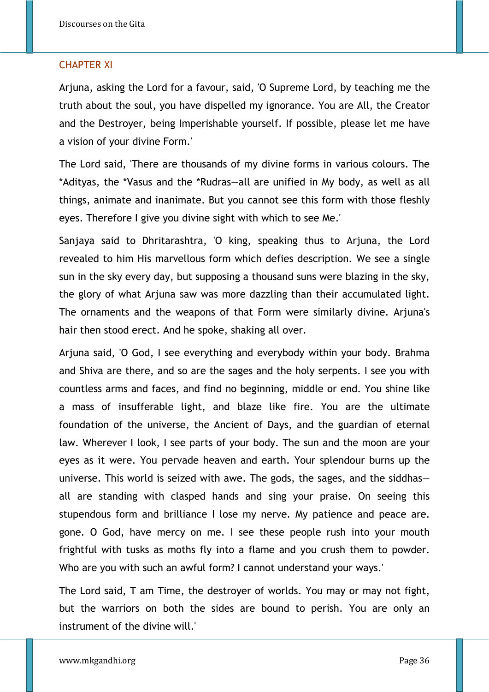## CHAPTER XI

Arjuna, asking the Lord for a favour, said, 'O Supreme Lord, by teaching me the truth about the soul, you have dispelled my ignorance. You are All, the Creator and the Destroyer, being Imperishable yourself. If possible, please let me have a vision of your divine Form.'

The Lord said, 'There are thousands of my divine forms in various colours. The \*Adityas, the \*Vasus and the \*Rudras—all are unified in My body, as well as all things, animate and inanimate. But you cannot see this form with those fleshly eyes. Therefore I give you divine sight with which to see Me.'

Sanjaya said to Dhritarashtra, 'O king, speaking thus to Arjuna, the Lord revealed to him His marvellous form which defies description. We see a single sun in the sky every day, but supposing a thousand suns were blazing in the sky, the glory of what Arjuna saw was more dazzling than their accumulated light. The ornaments and the weapons of that Form were similarly divine. Arjuna's hair then stood erect. And he spoke, shaking all over.

Arjuna said, 'O God, I see everything and everybody within your body. Brahma and Shiva are there, and so are the sages and the holy serpents. I see you with countless arms and faces, and find no beginning, middle or end. You shine like a mass of insufferable light, and blaze like fire. You are the ultimate foundation of the universe, the Ancient of Days, and the guardian of eternal law. Wherever I look, I see parts of your body. The sun and the moon are your eyes as it were. You pervade heaven and earth. Your splendour burns up the universe. This world is seized with awe. The gods, the sages, and the siddhas all are standing with clasped hands and sing your praise. On seeing this stupendous form and brilliance I lose my nerve. My patience and peace are. gone. O God, have mercy on me. I see these people rush into your mouth frightful with tusks as moths fly into a flame and you crush them to powder. Who are you with such an awful form? I cannot understand your ways.'

The Lord said, T am Time, the destroyer of worlds. You may or may not fight, but the warriors on both the sides are bound to perish. You are only an instrument of the divine will.'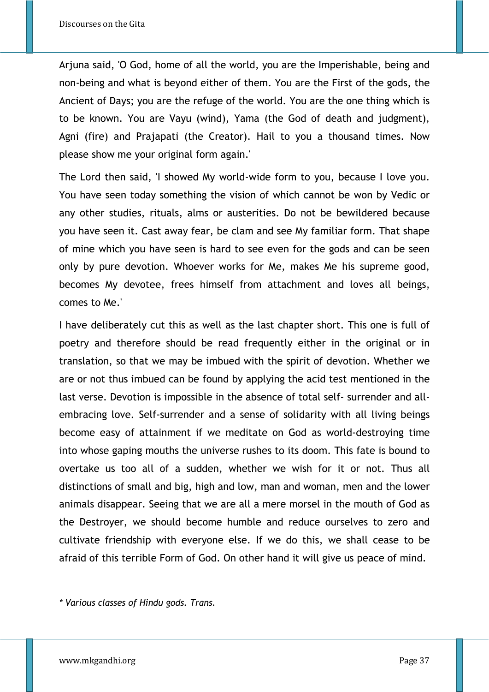Arjuna said, 'O God, home of all the world, you are the Imperishable, being and non-being and what is beyond either of them. You are the First of the gods, the Ancient of Days; you are the refuge of the world. You are the one thing which is to be known. You are Vayu (wind), Yama (the God of death and judgment), Agni (fire) and Prajapati (the Creator). Hail to you a thousand times. Now please show me your original form again.'

The Lord then said, 'I showed My world-wide form to you, because I love you. You have seen today something the vision of which cannot be won by Vedic or any other studies, rituals, alms or austerities. Do not be bewildered because you have seen it. Cast away fear, be clam and see My familiar form. That shape of mine which you have seen is hard to see even for the gods and can be seen only by pure devotion. Whoever works for Me, makes Me his supreme good, becomes My devotee, frees himself from attachment and loves all beings, comes to Me.'

I have deliberately cut this as well as the last chapter short. This one is full of poetry and therefore should be read frequently either in the original or in translation, so that we may be imbued with the spirit of devotion. Whether we are or not thus imbued can be found by applying the acid test mentioned in the last verse. Devotion is impossible in the absence of total self- surrender and allembracing love. Self-surrender and a sense of solidarity with all living beings become easy of attainment if we meditate on God as world-destroying time into whose gaping mouths the universe rushes to its doom. This fate is bound to overtake us too all of a sudden, whether we wish for it or not. Thus all distinctions of small and big, high and low, man and woman, men and the lower animals disappear. Seeing that we are all a mere morsel in the mouth of God as the Destroyer, we should become humble and reduce ourselves to zero and cultivate friendship with everyone else. If we do this, we shall cease to be afraid of this terrible Form of God. On other hand it will give us peace of mind.

*\* Various classes of Hindu gods. Trans.*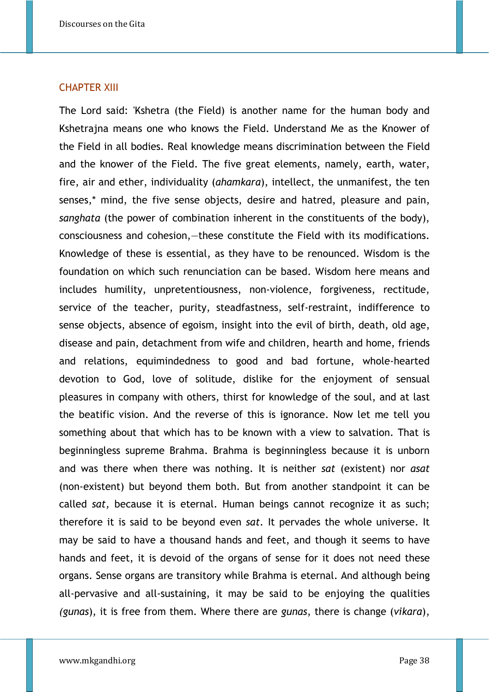#### CHAPTER XIII

The Lord said: 'Kshetra (the Field) is another name for the human body and Kshetrajna means one who knows the Field. Understand Me as the Knower of the Field in all bodies. Real knowledge means discrimination between the Field and the knower of the Field. The five great elements, namely, earth, water, fire, air and ether, individuality (*ahamkara*), intellect, the unmanifest, the ten senses,\* mind, the five sense objects, desire and hatred, pleasure and pain, *sanghata* (the power of combination inherent in the constituents of the body), consciousness and cohesion,—these constitute the Field with its modifications. Knowledge of these is essential, as they have to be renounced. Wisdom is the foundation on which such renunciation can be based. Wisdom here means and includes humility, unpretentiousness, non-violence, forgiveness, rectitude, service of the teacher, purity, steadfastness, self-restraint, indifference to sense objects, absence of egoism, insight into the evil of birth, death, old age, disease and pain, detachment from wife and children, hearth and home, friends and relations, equimindedness to good and bad fortune, whole-hearted devotion to God, love of solitude, dislike for the enjoyment of sensual pleasures in company with others, thirst for knowledge of the soul, and at last the beatific vision. And the reverse of this is ignorance. Now let me tell you something about that which has to be known with a view to salvation. That is beginningless supreme Brahma. Brahma is beginningless because it is unborn and was there when there was nothing. It is neither *sat* (existent) nor *asat* (non-existent) but beyond them both. But from another standpoint it can be called *sat,* because it is eternal. Human beings cannot recognize it as such; therefore it is said to be beyond even *sat.* It pervades the whole universe. It may be said to have a thousand hands and feet, and though it seems to have hands and feet, it is devoid of the organs of sense for it does not need these organs. Sense organs are transitory while Brahma is eternal. And although being all-pervasive and all-sustaining, it may be said to be enjoying the qualities *(gunas*), it is free from them. Where there are *gunas*, there is change (*vikara*),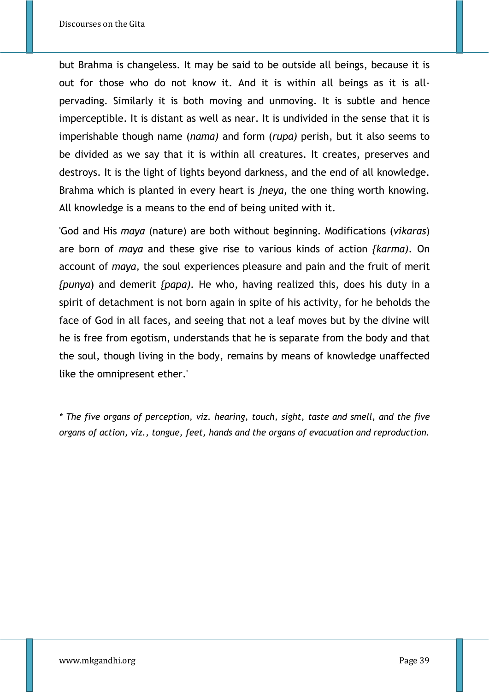but Brahma is changeless. It may be said to be outside all beings, because it is out for those who do not know it. And it is within all beings as it is allpervading. Similarly it is both moving and unmoving. It is subtle and hence imperceptible. It is distant as well as near. It is undivided in the sense that it is imperishable though name (*nama)* and form (*rupa)* perish, but it also seems to be divided as we say that it is within all creatures. It creates, preserves and destroys. It is the light of lights beyond darkness, and the end of all knowledge. Brahma which is planted in every heart is *jneya,* the one thing worth knowing. All knowledge is a means to the end of being united with it.

'God and His *maya* (nature) are both without beginning. Modifications (*vikaras*) are born of *maya* and these give rise to various kinds of action *{karma).* On account of *maya,* the soul experiences pleasure and pain and the fruit of merit *{punya*) and demerit *{papa).* He who, having realized this, does his duty in a spirit of detachment is not born again in spite of his activity, for he beholds the face of God in all faces, and seeing that not a leaf moves but by the divine will he is free from egotism, understands that he is separate from the body and that the soul, though living in the body, remains by means of knowledge unaffected like the omnipresent ether.'

*\* The five organs of perception, viz. hearing, touch, sight, taste and smell, and the five organs of action, viz., tongue, feet, hands and the organs of evacuation and reproduction.*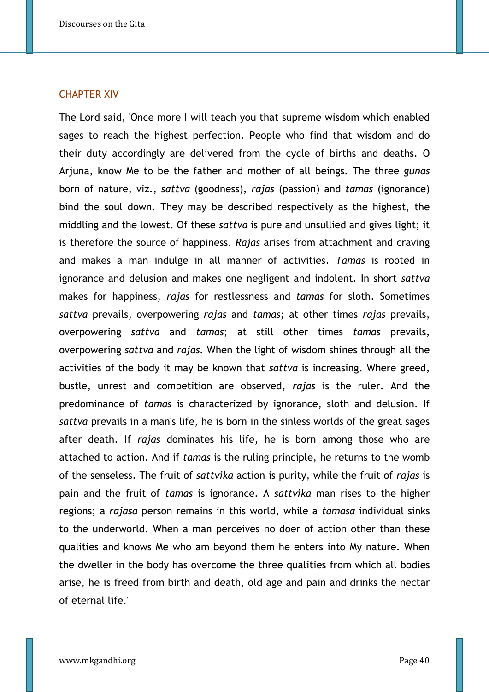#### CHAPTER XIV

The Lord said, 'Once more I will teach you that supreme wisdom which enabled sages to reach the highest perfection. People who find that wisdom and do their duty accordingly are delivered from the cycle of births and deaths. O Arjuna, know Me to be the father and mother of all beings. The three *gunas* born of nature, viz., *sattva* (goodness), *rajas* (passion) and *tamas* (ignorance) bind the soul down. They may be described respectively as the highest, the middling and the lowest. Of these *sattva* is pure and unsullied and gives light; it is therefore the source of happiness. *Rajas* arises from attachment and craving and makes a man indulge in all manner of activities. *Tamas* is rooted in ignorance and delusion and makes one negligent and indolent. In short *sattva* makes for happiness, *rajas* for restlessness and *tamas* for sloth. Sometimes *sattva* prevails, overpowering *rajas* and *tamas;* at other times *rajas* prevails, overpowering *sattva* and *tamas*; at still other times *tamas* prevails, overpowering *sattva* and *rajas.* When the light of wisdom shines through all the activities of the body it may be known that *sattva* is increasing. Where greed, bustle, unrest and competition are observed, *rajas* is the ruler. And the predominance of *tamas* is characterized by ignorance, sloth and delusion. If *sattva* prevails in a man's life, he is born in the sinless worlds of the great sages after death. If *rajas* dominates his life, he is born among those who are attached to action. And if *tamas* is the ruling principle, he returns to the womb of the senseless. The fruit of *sattvika* action is purity, while the fruit of *rajas* is pain and the fruit of *tamas* is ignorance. A *sattvika* man rises to the higher regions; a *rajasa* person remains in this world, while a *tamasa* individual sinks to the underworld. When a man perceives no doer of action other than these qualities and knows Me who am beyond them he enters into My nature. When the dweller in the body has overcome the three qualities from which all bodies arise, he is freed from birth and death, old age and pain and drinks the nectar of eternal life.'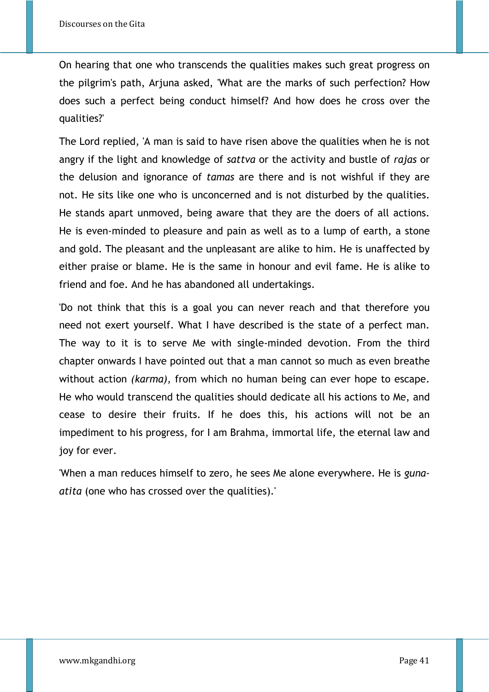On hearing that one who transcends the qualities makes such great progress on the pilgrim's path, Arjuna asked, 'What are the marks of such perfection? How does such a perfect being conduct himself? And how does he cross over the qualities?'

The Lord replied, 'A man is said to have risen above the qualities when he is not angry if the light and knowledge of *sattva* or the activity and bustle of *rajas* or the delusion and ignorance of *tamas* are there and is not wishful if they are not. He sits like one who is unconcerned and is not disturbed by the qualities. He stands apart unmoved, being aware that they are the doers of all actions. He is even-minded to pleasure and pain as well as to a lump of earth, a stone and gold. The pleasant and the unpleasant are alike to him. He is unaffected by either praise or blame. He is the same in honour and evil fame. He is alike to friend and foe. And he has abandoned all undertakings.

'Do not think that this is a goal you can never reach and that therefore you need not exert yourself. What I have described is the state of a perfect man. The way to it is to serve Me with single-minded devotion. From the third chapter onwards I have pointed out that a man cannot so much as even breathe without action *(karma),* from which no human being can ever hope to escape. He who would transcend the qualities should dedicate all his actions to Me, and cease to desire their fruits. If he does this, his actions will not be an impediment to his progress, for I am Brahma, immortal life, the eternal law and joy for ever.

'When a man reduces himself to zero, he sees Me alone everywhere. He is *gunaatita* (one who has crossed over the qualities).'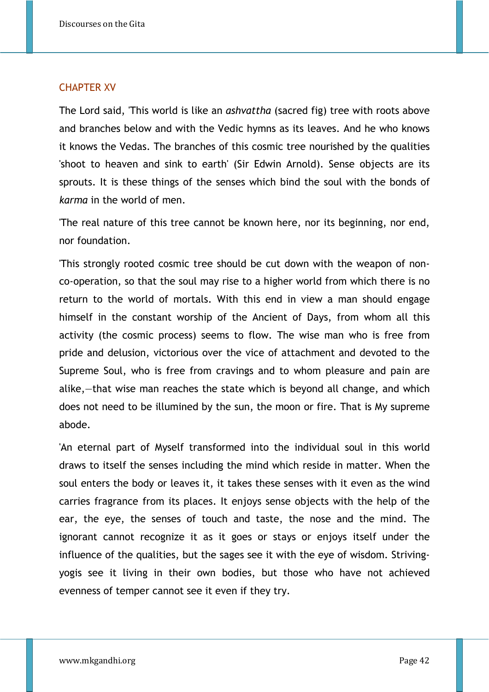## CHAPTER XV

The Lord said, 'This world is like an *ashvattha* (sacred fig) tree with roots above and branches below and with the Vedic hymns as its leaves. And he who knows it knows the Vedas. The branches of this cosmic tree nourished by the qualities 'shoot to heaven and sink to earth' (Sir Edwin Arnold). Sense objects are its sprouts. It is these things of the senses which bind the soul with the bonds of *karma* in the world of men.

'The real nature of this tree cannot be known here, nor its beginning, nor end, nor foundation.

'This strongly rooted cosmic tree should be cut down with the weapon of nonco-operation, so that the soul may rise to a higher world from which there is no return to the world of mortals. With this end in view a man should engage himself in the constant worship of the Ancient of Days, from whom all this activity (the cosmic process) seems to flow. The wise man who is free from pride and delusion, victorious over the vice of attachment and devoted to the Supreme Soul, who is free from cravings and to whom pleasure and pain are alike,—that wise man reaches the state which is beyond all change, and which does not need to be illumined by the sun, the moon or fire. That is My supreme abode.

'An eternal part of Myself transformed into the individual soul in this world draws to itself the senses including the mind which reside in matter. When the soul enters the body or leaves it, it takes these senses with it even as the wind carries fragrance from its places. It enjoys sense objects with the help of the ear, the eye, the senses of touch and taste, the nose and the mind. The ignorant cannot recognize it as it goes or stays or enjoys itself under the influence of the qualities, but the sages see it with the eye of wisdom. Strivingyogis see it living in their own bodies, but those who have not achieved evenness of temper cannot see it even if they try.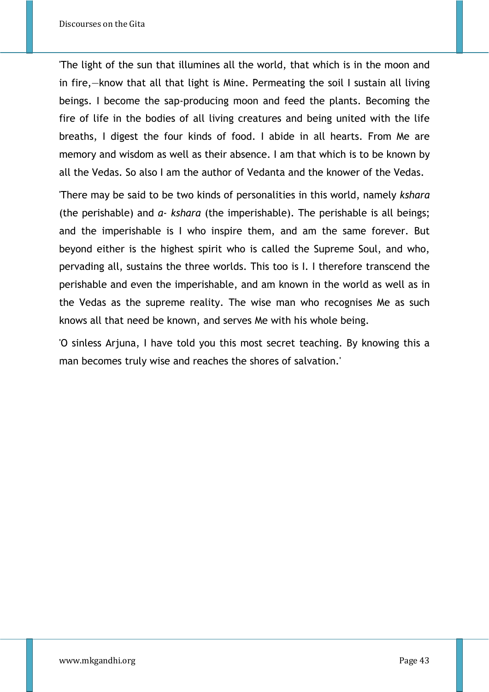'The light of the sun that illumines all the world, that which is in the moon and in fire,—know that all that light is Mine. Permeating the soil I sustain all living beings. I become the sap-producing moon and feed the plants. Becoming the fire of life in the bodies of all living creatures and being united with the life breaths, I digest the four kinds of food. I abide in all hearts. From Me are memory and wisdom as well as their absence. I am that which is to be known by all the Vedas. So also I am the author of Vedanta and the knower of the Vedas.

'There may be said to be two kinds of personalities in this world, namely *kshara* (the perishable) and *a- kshara* (the imperishable). The perishable is all beings; and the imperishable is I who inspire them, and am the same forever. But beyond either is the highest spirit who is called the Supreme Soul, and who, pervading all, sustains the three worlds. This too is I. I therefore transcend the perishable and even the imperishable, and am known in the world as well as in the Vedas as the supreme reality. The wise man who recognises Me as such knows all that need be known, and serves Me with his whole being.

'O sinless Arjuna, I have told you this most secret teaching. By knowing this a man becomes truly wise and reaches the shores of salvation.'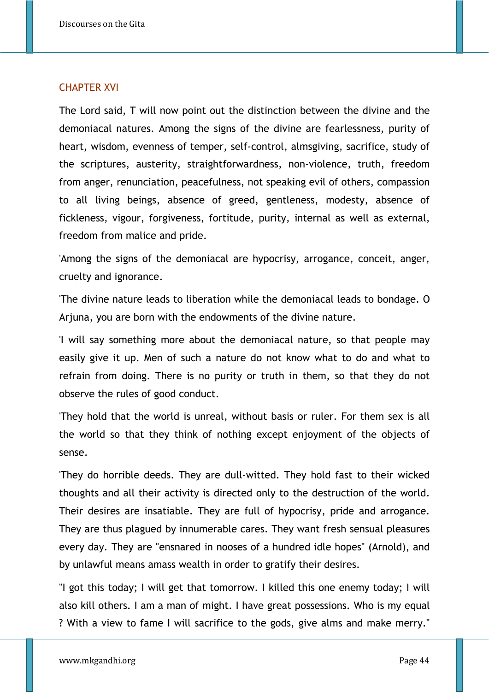## CHAPTER XVI

The Lord said, T will now point out the distinction between the divine and the demoniacal natures. Among the signs of the divine are fearlessness, purity of heart, wisdom, evenness of temper, self-control, almsgiving, sacrifice, study of the scriptures, austerity, straightforwardness, non-violence, truth, freedom from anger, renunciation, peacefulness, not speaking evil of others, compassion to all living beings, absence of greed, gentleness, modesty, absence of fickleness, vigour, forgiveness, fortitude, purity, internal as well as external, freedom from malice and pride.

'Among the signs of the demoniacal are hypocrisy, arrogance, conceit, anger, cruelty and ignorance.

'The divine nature leads to liberation while the demoniacal leads to bondage. O Arjuna, you are born with the endowments of the divine nature.

'I will say something more about the demoniacal nature, so that people may easily give it up. Men of such a nature do not know what to do and what to refrain from doing. There is no purity or truth in them, so that they do not observe the rules of good conduct.

'They hold that the world is unreal, without basis or ruler. For them sex is all the world so that they think of nothing except enjoyment of the objects of sense.

'They do horrible deeds. They are dull-witted. They hold fast to their wicked thoughts and all their activity is directed only to the destruction of the world. Their desires are insatiable. They are full of hypocrisy, pride and arrogance. They are thus plagued by innumerable cares. They want fresh sensual pleasures every day. They are "ensnared in nooses of a hundred idle hopes" (Arnold), and by unlawful means amass wealth in order to gratify their desires.

"I got this today; I will get that tomorrow. I killed this one enemy today; I will also kill others. I am a man of might. I have great possessions. Who is my equal ? With a view to fame I will sacrifice to the gods, give alms and make merry."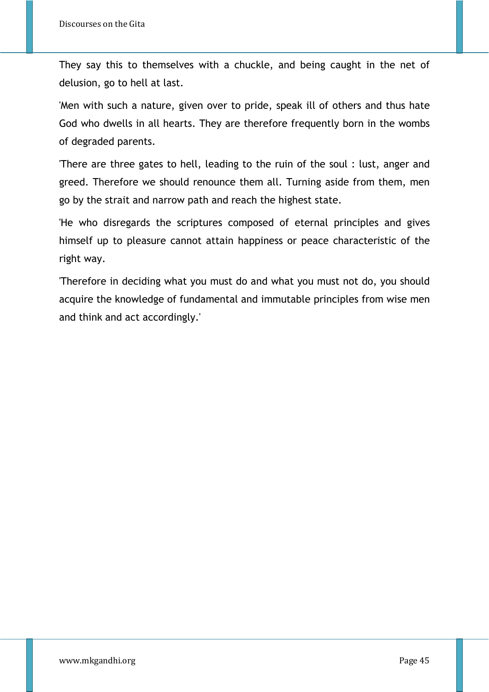They say this to themselves with a chuckle, and being caught in the net of delusion, go to hell at last.

'Men with such a nature, given over to pride, speak ill of others and thus hate God who dwells in all hearts. They are therefore frequently born in the wombs of degraded parents.

'There are three gates to hell, leading to the ruin of the soul : lust, anger and greed. Therefore we should renounce them all. Turning aside from them, men go by the strait and narrow path and reach the highest state.

'He who disregards the scriptures composed of eternal principles and gives himself up to pleasure cannot attain happiness or peace characteristic of the right way.

'Therefore in deciding what you must do and what you must not do, you should acquire the knowledge of fundamental and immutable principles from wise men and think and act accordingly.'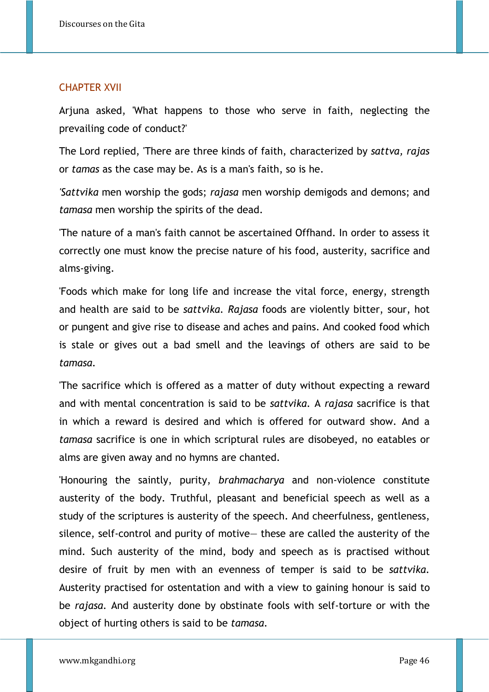#### CHAPTER XVII

Arjuna asked, 'What happens to those who serve in faith, neglecting the prevailing code of conduct?'

The Lord replied, 'There are three kinds of faith, characterized by *sattva, rajas* or *tamas* as the case may be. As is a man's faith, so is he.

*'Sattvika* men worship the gods; *rajasa* men worship demigods and demons; and *tamasa* men worship the spirits of the dead.

'The nature of a man's faith cannot be ascertained Offhand. In order to assess it correctly one must know the precise nature of his food, austerity, sacrifice and alms-giving.

'Foods which make for long life and increase the vital force, energy, strength and health are said to be *sattvika. Rajasa* foods are violently bitter, sour, hot or pungent and give rise to disease and aches and pains. And cooked food which is stale or gives out a bad smell and the leavings of others are said to be *tamasa.* 

'The sacrifice which is offered as a matter of duty without expecting a reward and with mental concentration is said to be *sattvika.* A *rajasa* sacrifice is that in which a reward is desired and which is offered for outward show. And a *tamasa* sacrifice is one in which scriptural rules are disobeyed, no eatables or alms are given away and no hymns are chanted.

'Honouring the saintly, purity, *brahmacharya* and non-violence constitute austerity of the body. Truthful, pleasant and beneficial speech as well as a study of the scriptures is austerity of the speech. And cheerfulness, gentleness, silence, self-control and purity of motive— these are called the austerity of the mind. Such austerity of the mind, body and speech as is practised without desire of fruit by men with an evenness of temper is said to be *sattvika.* Austerity practised for ostentation and with a view to gaining honour is said to be *rajasa.* And austerity done by obstinate fools with self-torture or with the object of hurting others is said to be *tamasa.*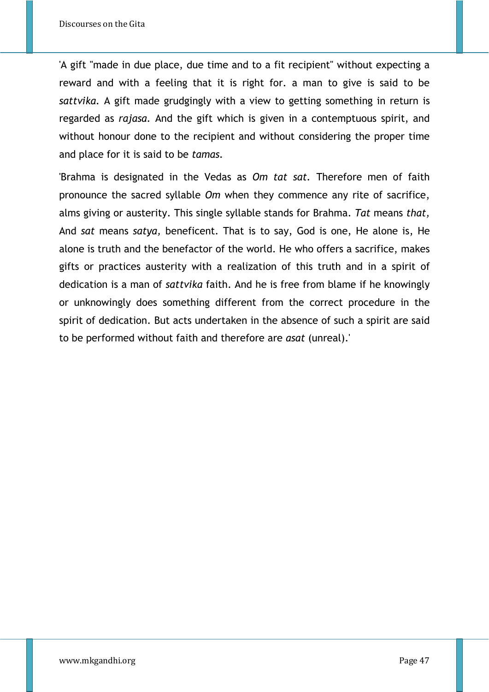'A gift "made in due place, due time and to a fit recipient" without expecting a reward and with a feeling that it is right for. a man to give is said to be *sattvika.* A gift made grudgingly with a view to getting something in return is regarded as *rajasa.* And the gift which is given in a contemptuous spirit, and without honour done to the recipient and without considering the proper time and place for it is said to be *tamas.* 

'Brahma is designated in the Vedas as *Om tat sat.* Therefore men of faith pronounce the sacred syllable *Om* when they commence any rite of sacrifice, alms giving or austerity. This single syllable stands for Brahma. *Tat* means *that,* And *sat* means *satya,* beneficent. That is to say, God is one, He alone is, He alone is truth and the benefactor of the world. He who offers a sacrifice, makes gifts or practices austerity with a realization of this truth and in a spirit of dedication is a man of *sattvika* faith. And he is free from blame if he knowingly or unknowingly does something different from the correct procedure in the spirit of dedication. But acts undertaken in the absence of such a spirit are said to be performed without faith and therefore are *asat* (unreal).'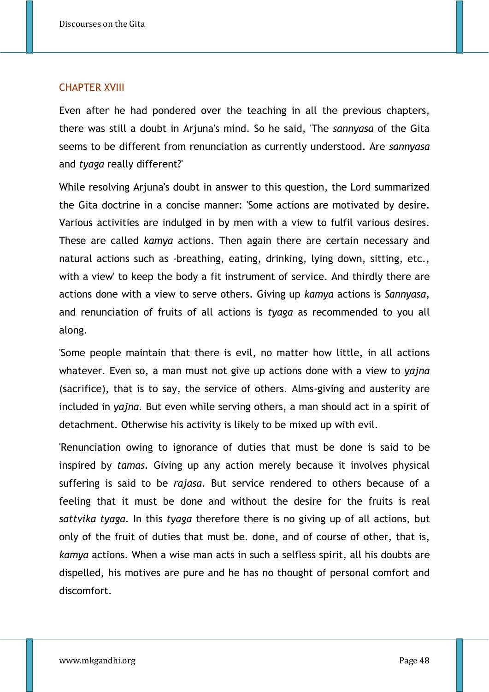## CHAPTER XVIII

Even after he had pondered over the teaching in all the previous chapters, there was still a doubt in Arjuna's mind. So he said, 'The *sannyasa* of the Gita seems to be different from renunciation as currently understood. Are *sannyasa* and *tyaga* really different?'

While resolving Arjuna's doubt in answer to this question, the Lord summarized the Gita doctrine in a concise manner: 'Some actions are motivated by desire. Various activities are indulged in by men with a view to fulfil various desires. These are called *kamya* actions. Then again there are certain necessary and natural actions such as -breathing, eating, drinking, lying down, sitting, etc., with a view' to keep the body a fit instrument of service. And thirdly there are actions done with a view to serve others. Giving up *kamya* actions is *Sannyasa*, and renunciation of fruits of all actions is *tyaga* as recommended to you all along.

'Some people maintain that there is evil, no matter how little, in all actions whatever. Even so, a man must not give up actions done with a view to *yajna* (sacrifice), that is to say, the service of others. Alms-giving and austerity are included in *yajna.* But even while serving others, a man should act in a spirit of detachment. Otherwise his activity is likely to be mixed up with evil.

'Renunciation owing to ignorance of duties that must be done is said to be inspired by *tamas.* Giving up any action merely because it involves physical suffering is said to be *rajasa.* But service rendered to others because of a feeling that it must be done and without the desire for the fruits is real *sattvika tyaga.* In this *tyaga* therefore there is no giving up of all actions, but only of the fruit of duties that must be. done, and of course of other, that is, *kamya* actions. When a wise man acts in such a selfless spirit, all his doubts are dispelled, his motives are pure and he has no thought of personal comfort and discomfort.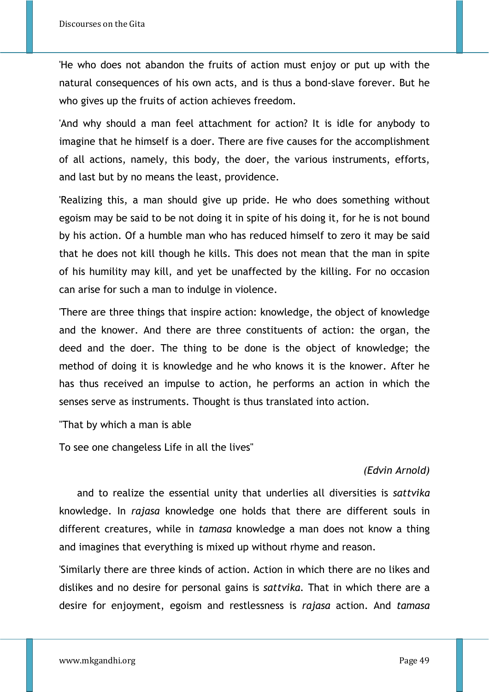'He who does not abandon the fruits of action must enjoy or put up with the natural consequences of his own acts, and is thus a bond-slave forever. But he who gives up the fruits of action achieves freedom.

'And why should a man feel attachment for action? It is idle for anybody to imagine that he himself is a doer. There are five causes for the accomplishment of all actions, namely, this body, the doer, the various instruments, efforts, and last but by no means the least, providence.

'Realizing this, a man should give up pride. He who does something without egoism may be said to be not doing it in spite of his doing it, for he is not bound by his action. Of a humble man who has reduced himself to zero it may be said that he does not kill though he kills. This does not mean that the man in spite of his humility may kill, and yet be unaffected by the killing. For no occasion can arise for such a man to indulge in violence.

'There are three things that inspire action: knowledge, the object of knowledge and the knower. And there are three constituents of action: the organ, the deed and the doer. The thing to be done is the object of knowledge; the method of doing it is knowledge and he who knows it is the knower. After he has thus received an impulse to action, he performs an action in which the senses serve as instruments. Thought is thus translated into action.

"That by which a man is able

To see one changeless Life in all the lives"

# *(Edvin Arnold)*

and to realize the essential unity that underlies all diversities is *sattvika* knowledge. In *rajasa* knowledge one holds that there are different souls in different creatures, while in *tamasa* knowledge a man does not know a thing and imagines that everything is mixed up without rhyme and reason.

'Similarly there are three kinds of action. Action in which there are no likes and dislikes and no desire for personal gains is *sattvika.* That in which there are a desire for enjoyment, egoism and restlessness is *rajasa* action. And *tamasa*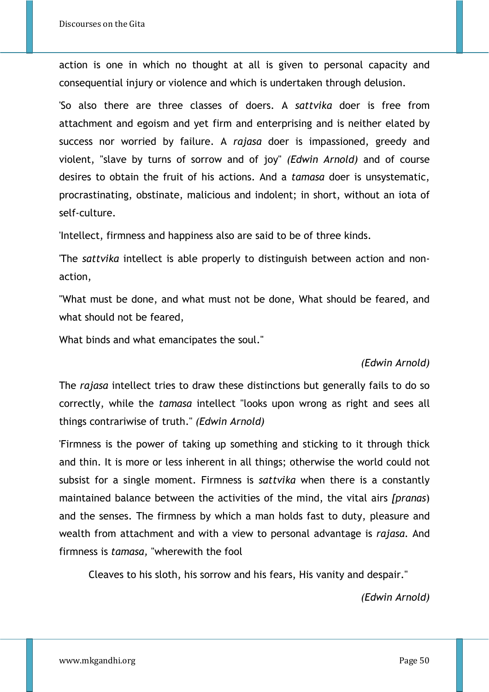action is one in which no thought at all is given to personal capacity and consequential injury or violence and which is undertaken through delusion.

'So also there are three classes of doers. A *sattvika* doer is free from attachment and egoism and yet firm and enterprising and is neither elated by success nor worried by failure. A *rajasa* doer is impassioned, greedy and violent, "slave by turns of sorrow and of joy" *(Edwin Arnold)* and of course desires to obtain the fruit of his actions. And a *tamasa* doer is unsystematic, procrastinating, obstinate, malicious and indolent; in short, without an iota of self-culture.

'Intellect, firmness and happiness also are said to be of three kinds.

'The *sattvika* intellect is able properly to distinguish between action and nonaction,

"What must be done, and what must not be done, What should be feared, and what should not be feared,

What binds and what emancipates the soul."

## *(Edwin Arnold)*

The *rajasa* intellect tries to draw these distinctions but generally fails to do so correctly, while the *tamasa* intellect "looks upon wrong as right and sees all things contrariwise of truth." *(Edwin Arnold)* 

'Firmness is the power of taking up something and sticking to it through thick and thin. It is more or less inherent in all things; otherwise the world could not subsist for a single moment. Firmness is *sattvika* when there is a constantly maintained balance between the activities of the mind, the vital airs *[pranas*) and the senses. The firmness by which a man holds fast to duty, pleasure and wealth from attachment and with a view to personal advantage is *rajasa.* And firmness is *tamasa,* "wherewith the fool

Cleaves to his sloth, his sorrow and his fears, His vanity and despair."

*(Edwin Arnold)*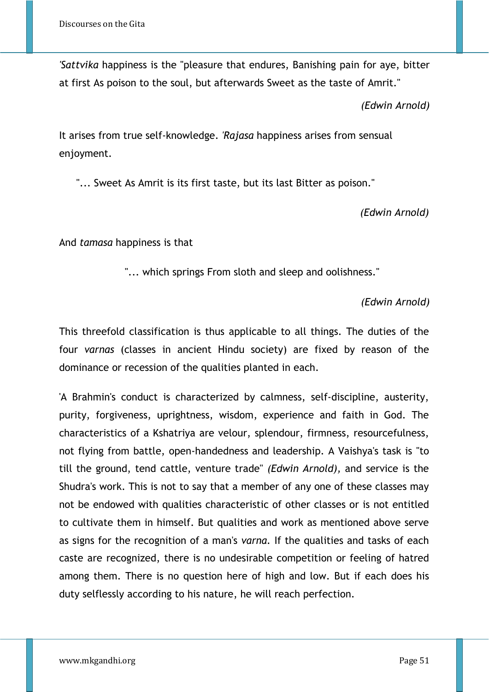*'Sattvika* happiness is the "pleasure that endures, Banishing pain for aye, bitter at first As poison to the soul, but afterwards Sweet as the taste of Amrit."

*(Edwin Arnold)*

It arises from true self-knowledge. *'Rajasa* happiness arises from sensual enjoyment.

"... Sweet As Amrit is its first taste, but its last Bitter as poison."

*(Edwin Arnold)* 

And *tamasa* happiness is that

"... which springs From sloth and sleep and oolishness."

*(Edwin Arnold)*

This threefold classification is thus applicable to all things. The duties of the four *varnas* (classes in ancient Hindu society) are fixed by reason of the dominance or recession of the qualities planted in each.

'A Brahmin's conduct is characterized by calmness, self-discipline, austerity, purity, forgiveness, uprightness, wisdom, experience and faith in God. The characteristics of a Kshatriya are velour, splendour, firmness, resourcefulness, not flying from battle, open-handedness and leadership. A Vaishya's task is "to till the ground, tend cattle, venture trade" *(Edwin Arnold),* and service is the Shudra's work. This is not to say that a member of any one of these classes may not be endowed with qualities characteristic of other classes or is not entitled to cultivate them in himself. But qualities and work as mentioned above serve as signs for the recognition of a man's *varna.* If the qualities and tasks of each caste are recognized, there is no undesirable competition or feeling of hatred among them. There is no question here of high and low. But if each does his duty selflessly according to his nature, he will reach perfection.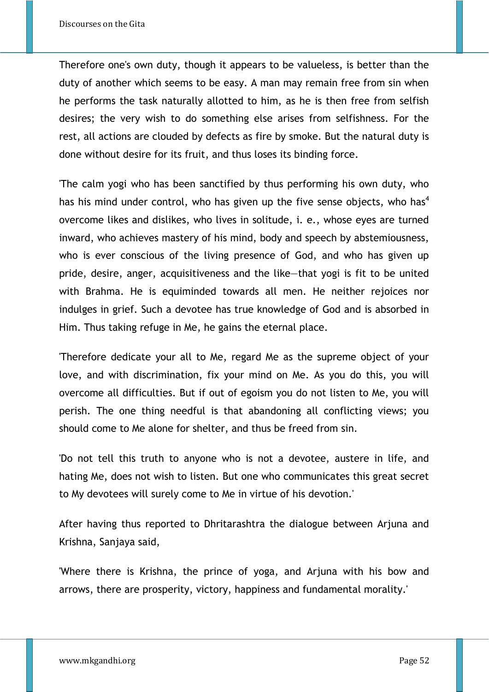Therefore one's own duty, though it appears to be valueless, is better than the duty of another which seems to be easy. A man may remain free from sin when he performs the task naturally allotted to him, as he is then free from selfish desires; the very wish to do something else arises from selfishness. For the rest, all actions are clouded by defects as fire by smoke. But the natural duty is done without desire for its fruit, and thus loses its binding force.

'The calm yogi who has been sanctified by thus performing his own duty, who has his mind under control, who has given up the five sense objects, who has<sup>4</sup> overcome likes and dislikes, who lives in solitude, i. e., whose eyes are turned inward, who achieves mastery of his mind, body and speech by abstemiousness, who is ever conscious of the living presence of God, and who has given up pride, desire, anger, acquisitiveness and the like—that yogi is fit to be united with Brahma. He is equiminded towards all men. He neither rejoices nor indulges in grief. Such a devotee has true knowledge of God and is absorbed in Him. Thus taking refuge in Me, he gains the eternal place.

'Therefore dedicate your all to Me, regard Me as the supreme object of your love, and with discrimination, fix your mind on Me. As you do this, you will overcome all difficulties. But if out of egoism you do not listen to Me, you will perish. The one thing needful is that abandoning all conflicting views; you should come to Me alone for shelter, and thus be freed from sin.

'Do not tell this truth to anyone who is not a devotee, austere in life, and hating Me, does not wish to listen. But one who communicates this great secret to My devotees will surely come to Me in virtue of his devotion.'

After having thus reported to Dhritarashtra the dialogue between Arjuna and Krishna, Sanjaya said,

'Where there is Krishna, the prince of yoga, and Arjuna with his bow and arrows, there are prosperity, victory, happiness and fundamental morality.'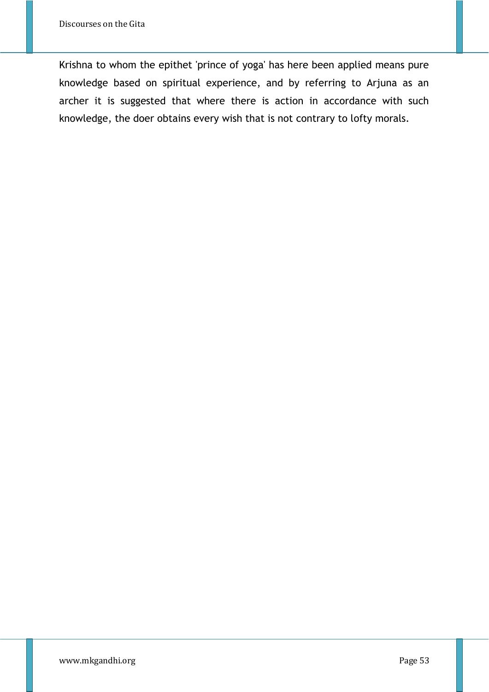Krishna to whom the epithet 'prince of yoga' has here been applied means pure knowledge based on spiritual experience, and by referring to Arjuna as an archer it is suggested that where there is action in accordance with such knowledge, the doer obtains every wish that is not contrary to lofty morals.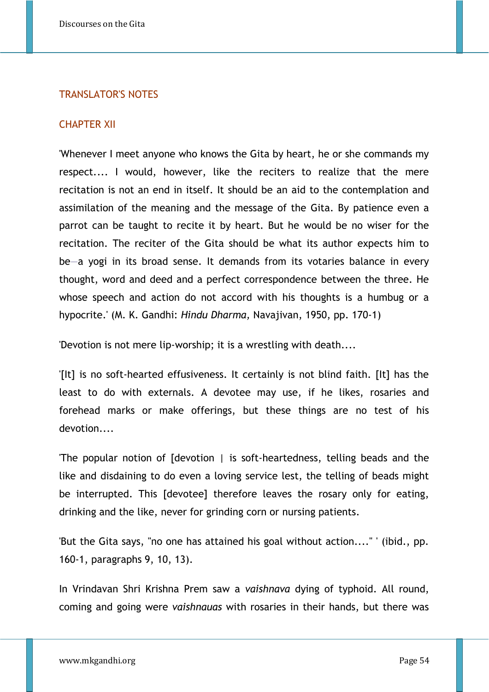## TRANSLATOR'S NOTES

#### CHAPTER XII

'Whenever I meet anyone who knows the Gita by heart, he or she commands my respect.... I would, however, like the reciters to realize that the mere recitation is not an end in itself. It should be an aid to the contemplation and assimilation of the meaning and the message of the Gita. By patience even a parrot can be taught to recite it by heart. But he would be no wiser for the recitation. The reciter of the Gita should be what its author expects him to be—a yogi in its broad sense. It demands from its votaries balance in every thought, word and deed and a perfect correspondence between the three. He whose speech and action do not accord with his thoughts is a humbug or a hypocrite.' (M. K. Gandhi: *Hindu Dharma,* Navajivan, 1950, pp. 170-1)

'Devotion is not mere lip-worship; it is a wrestling with death....

'[It] is no soft-hearted effusiveness. It certainly is not blind faith. [It] has the least to do with externals. A devotee may use, if he likes, rosaries and forehead marks or make offerings, but these things are no test of his devotion....

'The popular notion of [devotion | is soft-heartedness, telling beads and the like and disdaining to do even a loving service lest, the telling of beads might be interrupted. This [devotee] therefore leaves the rosary only for eating, drinking and the like, never for grinding corn or nursing patients.

'But the Gita says, "no one has attained his goal without action...." ' (ibid., pp. 160-1, paragraphs 9, 10, 13).

In Vrindavan Shri Krishna Prem saw a *vaishnava* dying of typhoid. All round, coming and going were *vaishnauas* with rosaries in their hands, but there was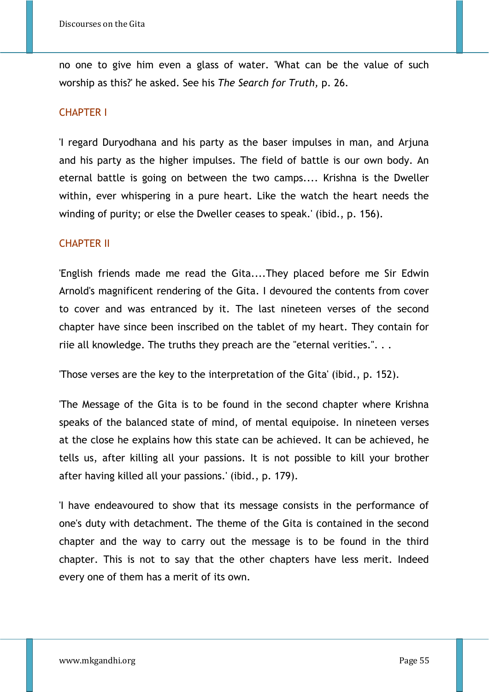no one to give him even a glass of water. 'What can be the value of such worship as this?' he asked. See his *The Search for Truth,* p. 26.

## CHAPTER I

'I regard Duryodhana and his party as the baser impulses in man, and Arjuna and his party as the higher impulses. The field of battle is our own body. An eternal battle is going on between the two camps.... Krishna is the Dweller within, ever whispering in a pure heart. Like the watch the heart needs the winding of purity; or else the Dweller ceases to speak.' (ibid., p. 156).

## CHAPTER II

'English friends made me read the Gita....They placed before me Sir Edwin Arnold's magnificent rendering of the Gita. I devoured the contents from cover to cover and was entranced by it. The last nineteen verses of the second chapter have since been inscribed on the tablet of my heart. They contain for riie all knowledge. The truths they preach are the "eternal verities.". . .

'Those verses are the key to the interpretation of the Gita' (ibid., p. 152).

'The Message of the Gita is to be found in the second chapter where Krishna speaks of the balanced state of mind, of mental equipoise. In nineteen verses at the close he explains how this state can be achieved. It can be achieved, he tells us, after killing all your passions. It is not possible to kill your brother after having killed all your passions.' (ibid., p. 179).

'I have endeavoured to show that its message consists in the performance of one's duty with detachment. The theme of the Gita is contained in the second chapter and the way to carry out the message is to be found in the third chapter. This is not to say that the other chapters have less merit. Indeed every one of them has a merit of its own.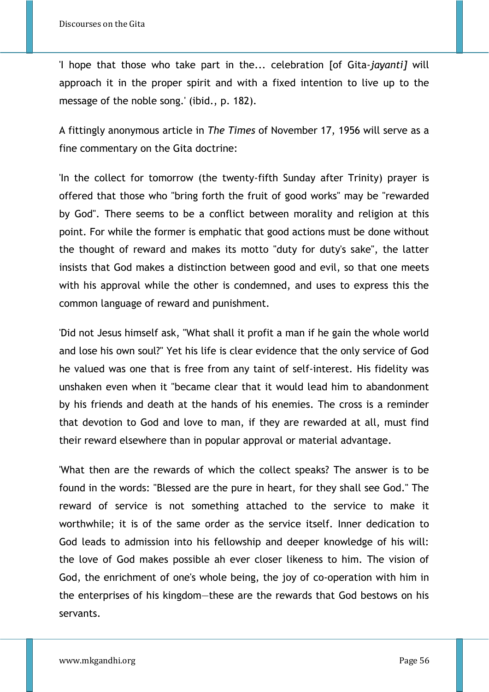'I hope that those who take part in the... celebration [of Gita*-jayanti]* will approach it in the proper spirit and with a fixed intention to live up to the message of the noble song.' (ibid., p. 182).

A fittingly anonymous article in *The Times* of November 17, 1956 will serve as a fine commentary on the Gita doctrine:

'In the collect for tomorrow (the twenty-fifth Sunday after Trinity) prayer is offered that those who "bring forth the fruit of good works" may be "rewarded by God". There seems to be a conflict between morality and religion at this point. For while the former is emphatic that good actions must be done without the thought of reward and makes its motto "duty for duty's sake", the latter insists that God makes a distinction between good and evil, so that one meets with his approval while the other is condemned, and uses to express this the common language of reward and punishment.

'Did not Jesus himself ask, "What shall it profit a man if he gain the whole world and lose his own soul?" Yet his life is clear evidence that the only service of God he valued was one that is free from any taint of self-interest. His fidelity was unshaken even when it "became clear that it would lead him to abandonment by his friends and death at the hands of his enemies. The cross is a reminder that devotion to God and love to man, if they are rewarded at all, must find their reward elsewhere than in popular approval or material advantage.

'What then are the rewards of which the collect speaks? The answer is to be found in the words: "Blessed are the pure in heart, for they shall see God." The reward of service is not something attached to the service to make it worthwhile; it is of the same order as the service itself. Inner dedication to God leads to admission into his fellowship and deeper knowledge of his will: the love of God makes possible ah ever closer likeness to him. The vision of God, the enrichment of one's whole being, the joy of co-operation with him in the enterprises of his kingdom—these are the rewards that God bestows on his servants.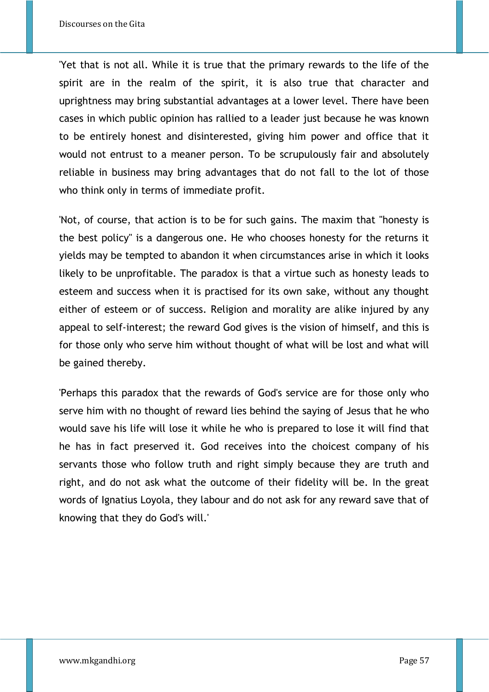'Yet that is not all. While it is true that the primary rewards to the life of the spirit are in the realm of the spirit, it is also true that character and uprightness may bring substantial advantages at a lower level. There have been cases in which public opinion has rallied to a leader just because he was known to be entirely honest and disinterested, giving him power and office that it would not entrust to a meaner person. To be scrupulously fair and absolutely reliable in business may bring advantages that do not fall to the lot of those who think only in terms of immediate profit.

'Not, of course, that action is to be for such gains. The maxim that "honesty is the best policy" is a dangerous one. He who chooses honesty for the returns it yields may be tempted to abandon it when circumstances arise in which it looks likely to be unprofitable. The paradox is that a virtue such as honesty leads to esteem and success when it is practised for its own sake, without any thought either of esteem or of success. Religion and morality are alike injured by any appeal to self-interest; the reward God gives is the vision of himself, and this is for those only who serve him without thought of what will be lost and what will be gained thereby.

'Perhaps this paradox that the rewards of God's service are for those only who serve him with no thought of reward lies behind the saying of Jesus that he who would save his life will lose it while he who is prepared to lose it will find that he has in fact preserved it. God receives into the choicest company of his servants those who follow truth and right simply because they are truth and right, and do not ask what the outcome of their fidelity will be. In the great words of Ignatius Loyola, they labour and do not ask for any reward save that of knowing that they do God's will.'